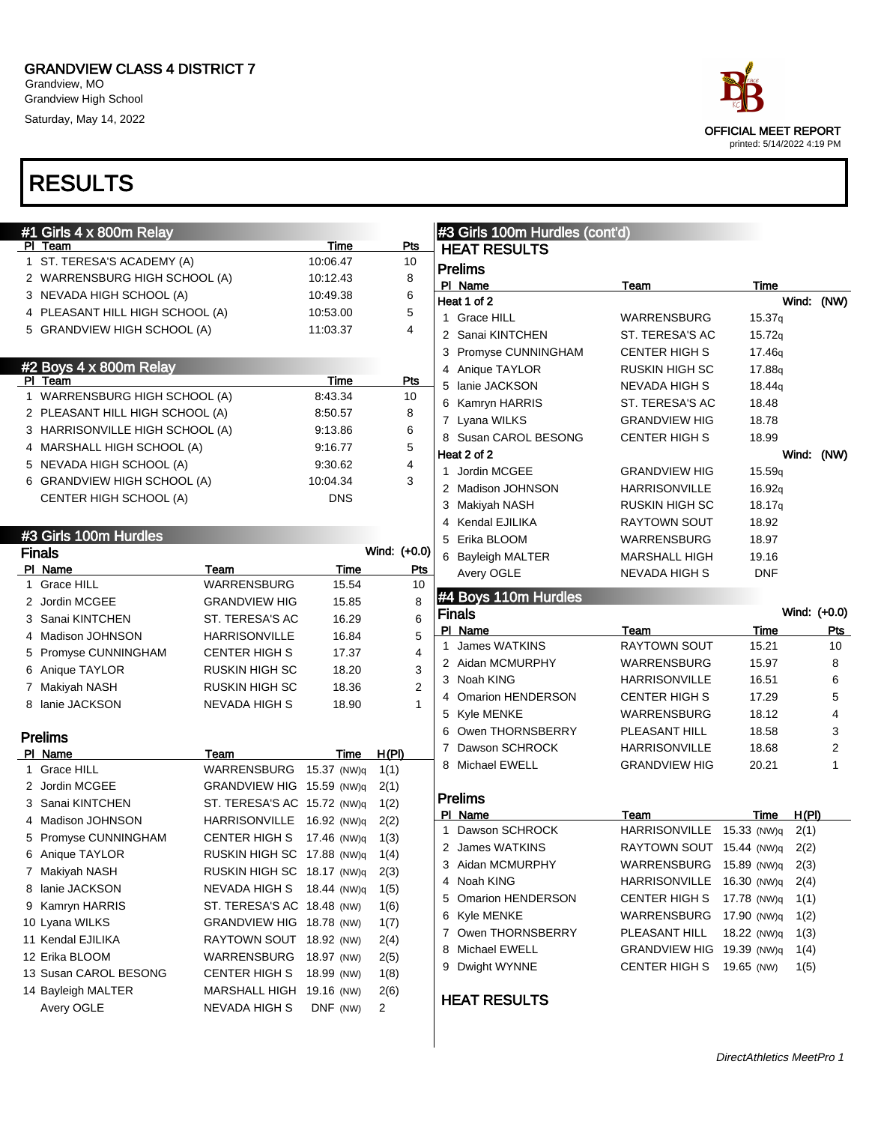Grandview, MO Grandview High School Saturday, May 14, 2022

| race                                               |
|----------------------------------------------------|
| OFFICIAL MEET REPORT<br>printed: 5/14/2022 4:19 PM |

| #1 Girls 4 x 800m Relay<br>PI Team |                             | Time       | Pts                              | #3 Girls 100m Hurdles (cont'd)        |                                       |                     |              |
|------------------------------------|-----------------------------|------------|----------------------------------|---------------------------------------|---------------------------------------|---------------------|--------------|
| 1 ST. TERESA'S ACADEMY (A)         |                             | 10:06.47   | 10                               | <b>HEAT RESULTS</b>                   |                                       |                     |              |
| 2 WARRENSBURG HIGH SCHOOL (A)      |                             | 10:12.43   | 8                                | <b>Prelims</b>                        |                                       |                     |              |
| 3 NEVADA HIGH SCHOOL (A)           |                             | 10:49.38   | 6                                | PI Name<br>Heat 1 of 2                | Team                                  | Time                |              |
| 4 PLEASANT HILL HIGH SCHOOL (A)    |                             | 10:53.00   | 5                                | 1 Grace HILL                          |                                       |                     | Wind: (NW)   |
| 5 GRANDVIEW HIGH SCHOOL (A)        |                             | 11:03.37   | 4                                | 2 Sanai KINTCHEN                      | <b>WARRENSBURG</b><br>ST. TERESA'S AC | 15.37q<br>15.72q    |              |
|                                    |                             |            |                                  | 3 Promyse CUNNINGHAM                  | <b>CENTER HIGH S</b>                  | 17.46g              |              |
| #2 Boys 4 x 800m Relay             |                             |            |                                  | 4 Anique TAYLOR                       | <b>RUSKIN HIGH SC</b>                 | 17.88g              |              |
| PI Team                            |                             | Time       | Pts                              | 5 lanie JACKSON                       | <b>NEVADA HIGH S</b>                  | 18.44g              |              |
| 1 WARRENSBURG HIGH SCHOOL (A)      |                             | 8:43.34    | 10                               |                                       | ST. TERESA'S AC                       | 18.48               |              |
| 2 PLEASANT HILL HIGH SCHOOL (A)    |                             | 8:50.57    | 8                                | 6 Kamryn HARRIS                       |                                       |                     |              |
| 3 HARRISONVILLE HIGH SCHOOL (A)    |                             | 9:13.86    | 6                                | 7 Lyana WILKS<br>8 Susan CAROL BESONG | <b>GRANDVIEW HIG</b>                  | 18.78               |              |
| 4 MARSHALL HIGH SCHOOL (A)         |                             | 9:16.77    | 5                                | Heat 2 of 2                           | <b>CENTER HIGH S</b>                  | 18.99               |              |
| 5 NEVADA HIGH SCHOOL (A)           |                             | 9:30.62    | 4                                |                                       |                                       |                     | Wind: (NW)   |
| 6 GRANDVIEW HIGH SCHOOL (A)        |                             | 10:04.34   | 3                                | 1 Jordin MCGEE                        | <b>GRANDVIEW HIG</b>                  | 15.59q              |              |
| CENTER HIGH SCHOOL (A)             |                             | <b>DNS</b> |                                  | 2 Madison JOHNSON                     | <b>HARRISONVILLE</b>                  | 16.92q              |              |
|                                    |                             |            |                                  | 3 Makiyah NASH                        | RUSKIN HIGH SC                        | 18.17q              |              |
| #3 Girls 100m Hurdles              |                             |            |                                  | 4 Kendal EJILIKA<br>5 Erika BLOOM     | RAYTOWN SOUT                          | 18.92               |              |
| <b>Finals</b>                      |                             |            | Wind: (+0.0)                     |                                       | WARRENSBURG                           | 18.97               |              |
| PI Name                            | Team                        | Time       | <u>Pts</u>                       | 6 Bayleigh MALTER                     | <b>MARSHALL HIGH</b>                  | 19.16<br><b>DNF</b> |              |
| 1 Grace HILL                       | <b>WARRENSBURG</b>          | 15.54      | 10                               | Avery OGLE                            | NEVADA HIGH S                         |                     |              |
| 2 Jordin MCGEE                     | <b>GRANDVIEW HIG</b>        | 15.85      | 8                                | #4 Boys 110m Hurdles                  |                                       |                     |              |
| 3 Sanai KINTCHEN                   | ST. TERESA'S AC             | 16.29      | 6                                | <b>Finals</b>                         |                                       |                     | Wind: (+0.0) |
| 4 Madison JOHNSON                  | <b>HARRISONVILLE</b>        | 16.84      | $\mathbf 5$                      | PI Name                               | Team                                  | Time                | Pts          |
| 5 Promyse CUNNINGHAM               | <b>CENTER HIGH S</b>        | 17.37      | $\overline{4}$                   | 1 James WATKINS                       | <b>RAYTOWN SOUT</b>                   | 15.21               | 10           |
|                                    |                             | 18.20      |                                  | 2 Aidan MCMURPHY                      | <b>WARRENSBURG</b>                    | 15.97               | 8            |
|                                    | <b>RUSKIN HIGH SC</b>       |            | 3                                |                                       |                                       |                     |              |
| 6 Anique TAYLOR                    |                             |            |                                  | 3 Noah KING                           | <b>HARRISONVILLE</b>                  | 16.51               | 6            |
| 7 Makiyah NASH<br>8 Ianie JACKSON  | <b>RUSKIN HIGH SC</b>       | 18.36      | $\overline{2}$<br>$\overline{1}$ | 4 Omarion HENDERSON                   | <b>CENTER HIGH S</b>                  | 17.29               | 5            |
|                                    | <b>NEVADA HIGH S</b>        | 18.90      |                                  | 5 Kyle MENKE                          | <b>WARRENSBURG</b>                    | 18.12               | 4            |
| <b>Prelims</b>                     |                             |            |                                  | 6 Owen THORNSBERRY                    | PLEASANT HILL                         | 18.58               | 3            |
| PI Name                            | Team                        | Time       | H(PI)                            | 7 Dawson SCHROCK                      | <b>HARRISONVILLE</b>                  | 18.68               | 2            |
| 1 Grace HILL                       | WARRENSBURG 15.37 (NW)q     |            | 1(1)                             | 8 Michael EWELL                       | <b>GRANDVIEW HIG</b>                  | 20.21               |              |
| 2 Jordin MCGEE                     | GRANDVIEW HIG 15.59 (NW)q   |            | 2(1)                             |                                       |                                       |                     |              |
| 3 Sanai KINTCHEN                   | ST. TERESA'S AC 15.72 (NW)q |            | 1(2)                             | <b>Prelims</b>                        |                                       |                     |              |
| 4 Madison JOHNSON                  | HARRISONVILLE 16.92 (NW)q   |            | 2(2)                             | PI Name                               | Team                                  | Time                | H(PI)        |
| 5 Promyse CUNNINGHAM               | CENTER HIGH S 17.46 (NW)q   |            | 1(3)                             | 1 Dawson SCHROCK                      | HARRISONVILLE 15.33 (NW)q             |                     | 2(1)         |
| 6 Anique TAYLOR                    | RUSKIN HIGH SC 17.88 (NW)q  |            | 1(4)                             | 2 James WATKINS                       | RAYTOWN SOUT 15.44 (NW)q              |                     | 2(2)         |
| 7 Makiyah NASH                     | RUSKIN HIGH SC 18.17 (NW)q  |            | 2(3)                             | 3 Aidan MCMURPHY                      | WARRENSBURG                           | 15.89 (NW)q         | 2(3)         |
| 8 Ianie JACKSON                    | NEVADA HIGH S 18.44 (NW)q   |            | 1(5)                             | 4 Noah KING                           | <b>HARRISONVILLE</b>                  | 16.30 (NW)q         | 2(4)         |
| 9 Kamryn HARRIS                    | ST. TERESA'S AC 18.48 (NW)  |            | 1(6)                             | 5 Omarion HENDERSON                   | <b>CENTER HIGH S</b>                  | 17.78 (NW)q         | 1(1)         |
| 10 Lyana WILKS                     | GRANDVIEW HIG 18.78 (NW)    |            | 1(7)                             | 6 Kyle MENKE                          | WARRENSBURG                           | 17.90 (NW)q         | 1(2)         |
| 11 Kendal EJILIKA                  | RAYTOWN SOUT 18.92 (NW)     |            | 2(4)                             | 7 Owen THORNSBERRY                    | PLEASANT HILL                         | 18.22 (NW)q         | 1(3)         |
| 12 Erika BLOOM                     | WARRENSBURG 18.97 (NW)      |            | 2(5)                             | 8 Michael EWELL                       | GRANDVIEW HIG 19.39 (NW)q             |                     | 1(4)         |
| 13 Susan CAROL BESONG              | <b>CENTER HIGH S</b>        | 18.99 (NW) | 1(8)                             | 9 Dwight WYNNE                        | CENTER HIGH S                         | 19.65 (NW)          | 1(5)         |
| 14 Bayleigh MALTER                 | MARSHALL HIGH 19.16 (NW)    |            | 2(6)                             |                                       |                                       |                     |              |
| Avery OGLE                         | NEVADA HIGH S               | DNF (NW)   | 2                                | <b>HEAT RESULTS</b>                   |                                       |                     |              |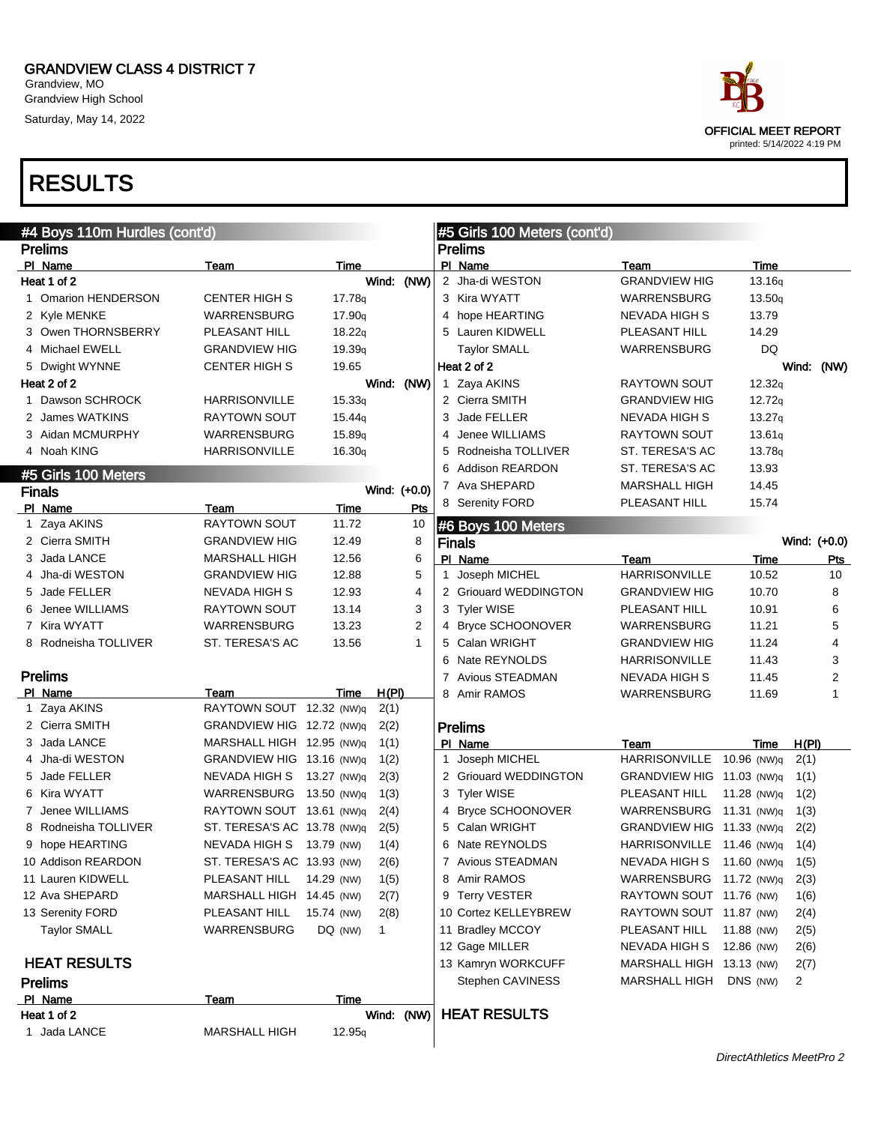Grandview, MO Grandview High School Saturday, May 14, 2022

# OFFICIAL MEET REPORT printed: 5/14/2022 4:19 PM

| #4 Boys 110m Hurdles (cont'd) |                             |                    |                | #5 Girls 100 Meters (cont'd) |                       |                           |             |                  |  |  |
|-------------------------------|-----------------------------|--------------------|----------------|------------------------------|-----------------------|---------------------------|-------------|------------------|--|--|
| <b>Prelims</b>                |                             |                    |                |                              | <b>Prelims</b>        |                           |             |                  |  |  |
| PI Name                       | Team                        | Time               |                |                              | PI Name               | Team                      | Time        |                  |  |  |
| Heat 1 of 2                   |                             |                    | Wind: (NW)     |                              | 2 Jha-di WESTON       | <b>GRANDVIEW HIG</b>      | 13.16q      |                  |  |  |
| 1 Omarion HENDERSON           | <b>CENTER HIGH S</b>        | 17.78q             |                |                              | 3 Kira WYATT          | WARRENSBURG               | 13.50q      |                  |  |  |
| 2 Kyle MENKE                  | WARRENSBURG                 | 17.90q             |                |                              | 4 hope HEARTING       | NEVADA HIGH S             | 13.79       |                  |  |  |
| 3 Owen THORNSBERRY            | PLEASANT HILL               | 18.22q             |                |                              | 5 Lauren KIDWELL      | PLEASANT HILL             | 14.29       |                  |  |  |
| 4 Michael EWELL               | <b>GRANDVIEW HIG</b>        | 19.39q             |                |                              | <b>Taylor SMALL</b>   | WARRENSBURG               | DQ          |                  |  |  |
| 5 Dwight WYNNE                | <b>CENTER HIGH S</b>        | 19.65              |                |                              | Heat 2 of 2           |                           |             | Wind: (NW)       |  |  |
| Heat 2 of 2                   |                             |                    | Wind: (NW)     |                              | 1 Zaya AKINS          | RAYTOWN SOUT              | 12.32q      |                  |  |  |
| 1 Dawson SCHROCK              | <b>HARRISONVILLE</b>        | 15.33q             |                |                              | 2 Cierra SMITH        | <b>GRANDVIEW HIG</b>      | 12.72q      |                  |  |  |
| 2 James WATKINS               | <b>RAYTOWN SOUT</b>         | 15.44 <sub>q</sub> |                | 3                            | Jade FELLER           | NEVADA HIGH S             | 13.27q      |                  |  |  |
| 3 Aidan MCMURPHY              | WARRENSBURG                 | 15.89q             |                | 4                            | Jenee WILLIAMS        | RAYTOWN SOUT              | 13.61q      |                  |  |  |
| 4 Noah KING                   | <b>HARRISONVILLE</b>        | 16.30q             |                | 5                            | Rodneisha TOLLIVER    | ST. TERESA'S AC           | 13.78q      |                  |  |  |
| #5 Girls 100 Meters           |                             |                    |                | 6                            | Addison REARDON       | ST. TERESA'S AC           | 13.93       |                  |  |  |
| <b>Finals</b>                 |                             |                    | Wind: (+0.0)   |                              | 7 Ava SHEPARD         | <b>MARSHALL HIGH</b>      | 14.45       |                  |  |  |
| PI Name                       | Team                        | Time               | Pts            |                              | 8 Serenity FORD       | PLEASANT HILL             | 15.74       |                  |  |  |
| 1 Zaya AKINS                  | <b>RAYTOWN SOUT</b>         | 11.72              | 10             |                              | #6 Boys 100 Meters    |                           |             |                  |  |  |
| 2 Cierra SMITH                | <b>GRANDVIEW HIG</b>        | 12.49              | 8              |                              | <b>Finals</b>         |                           |             | Wind: (+0.0)     |  |  |
| 3 Jada LANCE                  | <b>MARSHALL HIGH</b>        | 12.56              | 6              |                              | PI Name               | Team                      | Time        | Pts              |  |  |
| 4 Jha-di WESTON               | <b>GRANDVIEW HIG</b>        | 12.88              | 5              |                              | 1 Joseph MICHEL       | <b>HARRISONVILLE</b>      | 10.52       | 10               |  |  |
| 5 Jade FELLER                 | NEVADA HIGH S               | 12.93              | 4              |                              | 2 Griouard WEDDINGTON | <b>GRANDVIEW HIG</b>      | 10.70       | 8                |  |  |
| 6 Jenee WILLIAMS              | RAYTOWN SOUT                | 13.14              | 3              |                              | 3 Tyler WISE          | PLEASANT HILL             | 10.91       | 6                |  |  |
| 7 Kira WYATT                  | WARRENSBURG                 | 13.23              | $\overline{2}$ |                              | 4 Bryce SCHOONOVER    | WARRENSBURG               | 11.21       | 5                |  |  |
| 8 Rodneisha TOLLIVER          | ST. TERESA'S AC             | 13.56              | 1              | 5                            | Calan WRIGHT          | <b>GRANDVIEW HIG</b>      | 11.24       | 4                |  |  |
|                               |                             |                    |                | 6                            | Nate REYNOLDS         | <b>HARRISONVILLE</b>      | 11.43       | 3                |  |  |
| <b>Prelims</b>                |                             |                    |                | 7                            | Avious STEADMAN       | NEVADA HIGH S             | 11.45       | $\boldsymbol{2}$ |  |  |
| PI Name                       | Team                        | Time               | H(PI)          | 8                            | Amir RAMOS            | WARRENSBURG               | 11.69       | 1                |  |  |
| 1 Zaya AKINS                  | RAYTOWN SOUT 12.32 (NW)q    |                    | 2(1)           |                              |                       |                           |             |                  |  |  |
| 2 Cierra SMITH                | GRANDVIEW HIG 12.72 (NW)q   |                    | 2(2)           |                              | <b>Prelims</b>        |                           |             |                  |  |  |
| 3 Jada LANCE                  | MARSHALL HIGH 12.95 (NW)q   |                    | 1(1)           |                              | PI Name               | Team                      | Time        | H(PI)            |  |  |
| 4 Jha-di WESTON               | GRANDVIEW HIG 13.16 (NW)q   |                    | 1(2)           | 1.                           | Joseph MICHEL         | <b>HARRISONVILLE</b>      | 10.96 (NW)q | 2(1)             |  |  |
| 5 Jade FELLER                 | NEVADA HIGH S               | 13.27 (NW)g        | 2(3)           |                              | 2 Griouard WEDDINGTON | GRANDVIEW HIG 11.03 (NW)q |             | 1(1)             |  |  |
| 6 Kira WYATT                  | WARRENSBURG                 | 13.50 (NW)q        | 1(3)           | 3                            | <b>Tyler WISE</b>     | PLEASANT HILL             | 11.28 (NW)q | 1(2)             |  |  |
| 7 Jenee WILLIAMS              | RAYTOWN SOUT 13.61 (NW)q    |                    | 2(4)           | 4                            | Bryce SCHOONOVER      | WARRENSBURG               | 11.31 (NW)q | 1(3)             |  |  |
| 8 Rodneisha TOLLIVER          | ST. TERESA'S AC 13.78 (NW)q |                    | 2(5)           | 5                            | Calan WRIGHT          | GRANDVIEW HIG 11.33 (NW)q |             | 2(2)             |  |  |
| 9 hope HEARTING               | NEVADA HIGH S 13.79 (NW)    |                    | 1(4)           | 6                            | Nate REYNOLDS         | HARRISONVILLE 11.46 (NW)q |             | 1(4)             |  |  |
| 10 Addison REARDON            | ST. TERESA'S AC 13.93 (NW)  |                    | 2(6)           |                              | 7 Avious STEADMAN     | NEVADA HIGH S 11.60 (NW)q |             | 1(5)             |  |  |
| 11 Lauren KIDWELL             | PLEASANT HILL               | 14.29 (NW)         | 1(5)           | 8                            | Amir RAMOS            | WARRENSBURG               | 11.72 (NW)q | 2(3)             |  |  |
| 12 Ava SHEPARD                | MARSHALL HIGH 14.45 (NW)    |                    | 2(7)           |                              | 9 Terry VESTER        | RAYTOWN SOUT 11.76 (NW)   |             | 1(6)             |  |  |
| 13 Serenity FORD              | PLEASANT HILL               | 15.74 (NW)         | 2(8)           |                              | 10 Cortez KELLEYBREW  | RAYTOWN SOUT 11.87 (NW)   |             | 2(4)             |  |  |
| <b>Taylor SMALL</b>           | WARRENSBURG                 | DQ (NW)            | 1              |                              | 11 Bradley MCCOY      | PLEASANT HILL             | 11.88 (NW)  | 2(5)             |  |  |
|                               |                             |                    |                |                              | 12 Gage MILLER        | NEVADA HIGH S             | 12.86 (NW)  | 2(6)             |  |  |
| <b>HEAT RESULTS</b>           |                             |                    |                |                              | 13 Kamryn WORKCUFF    | MARSHALL HIGH 13.13 (NW)  |             | 2(7)             |  |  |
| <b>Prelims</b>                |                             |                    |                |                              | Stephen CAVINESS      | MARSHALL HIGH             | DNS (NW)    | $\overline{2}$   |  |  |
| PI Name                       | Team                        | Time               |                |                              |                       |                           |             |                  |  |  |
| Heat 1 of 2                   |                             |                    | Wind: (NW)     |                              | <b>HEAT RESULTS</b>   |                           |             |                  |  |  |
| 1 Jada LANCE                  | <b>MARSHALL HIGH</b>        | 12.95 <sub>q</sub> |                |                              |                       |                           |             |                  |  |  |
|                               |                             |                    |                |                              |                       |                           |             |                  |  |  |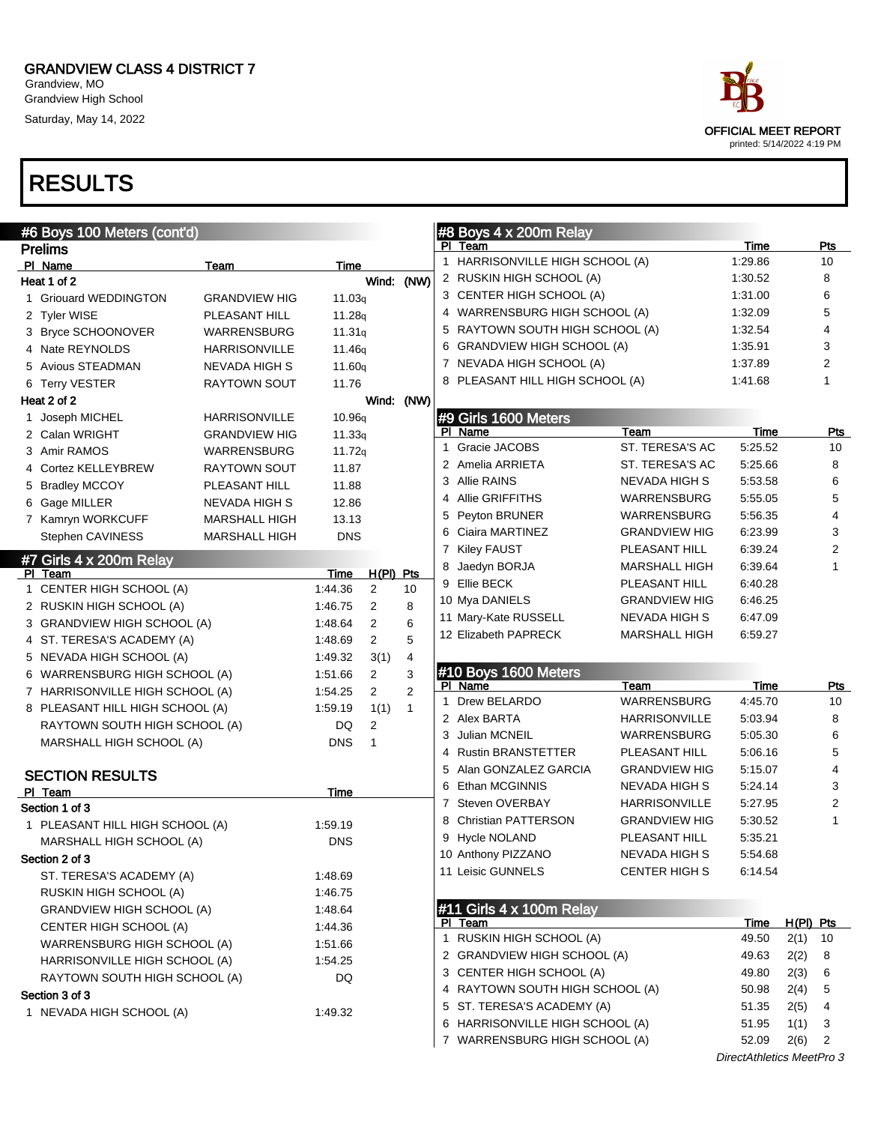Grandview, MO Grandview High School Saturday, May 14, 2022



| #6 Boys 100 Meters (cont'd)      |                      |                    |                |                |              | #8 Boys 4 x 200m Relay          |                      |                           |             |                |
|----------------------------------|----------------------|--------------------|----------------|----------------|--------------|---------------------------------|----------------------|---------------------------|-------------|----------------|
| <b>Prelims</b>                   |                      |                    |                |                |              | PI Team                         |                      | Time                      |             | Pts            |
| PI Name                          | Team                 | Time               |                |                | $\mathbf{1}$ | HARRISONVILLE HIGH SCHOOL (A)   |                      | 1:29.86                   |             | 10             |
| Heat 1 of 2                      |                      |                    | Wind: (NW)     |                |              | 2 RUSKIN HIGH SCHOOL (A)        |                      | 1:30.52                   |             | 8              |
| 1 Griouard WEDDINGTON            | <b>GRANDVIEW HIG</b> | 11.03q             |                |                |              | 3 CENTER HIGH SCHOOL (A)        |                      | 1:31.00                   |             | 6              |
| 2 Tyler WISE                     | PLEASANT HILL        | 11.28q             |                |                |              | 4 WARRENSBURG HIGH SCHOOL (A)   |                      | 1:32.09                   |             | 5              |
| 3 Bryce SCHOONOVER               | WARRENSBURG          | 11.31q             |                |                |              | 5 RAYTOWN SOUTH HIGH SCHOOL (A) |                      | 1:32.54                   |             | 4              |
| 4 Nate REYNOLDS                  | <b>HARRISONVILLE</b> | 11.46g             |                |                |              | 6 GRANDVIEW HIGH SCHOOL (A)     |                      | 1:35.91                   |             | 3              |
| 5 Avious STEADMAN                | NEVADA HIGH S        | 11.60 <sub>q</sub> |                |                |              | 7 NEVADA HIGH SCHOOL (A)        |                      | 1:37.89                   |             | 2              |
| 6 Terry VESTER                   | <b>RAYTOWN SOUT</b>  | 11.76              |                |                |              | 8 PLEASANT HILL HIGH SCHOOL (A) |                      | 1:41.68                   |             | 1              |
| Heat 2 of 2                      |                      |                    | Wind: (NW)     |                |              |                                 |                      |                           |             |                |
| 1 Joseph MICHEL                  | <b>HARRISONVILLE</b> | 10.96q             |                |                |              | #9 Girls 1600 Meters            |                      |                           |             |                |
| 2 Calan WRIGHT                   | <b>GRANDVIEW HIG</b> | 11.33q             |                |                |              | PI Name                         | Team                 | Time                      |             | <b>Pts</b>     |
| 3 Amir RAMOS                     | WARRENSBURG          | 11.72q             |                |                | $\mathbf 1$  | Gracie JACOBS                   | ST. TERESA'S AC      | 5:25.52                   |             | 10             |
| 4 Cortez KELLEYBREW              | RAYTOWN SOUT         | 11.87              |                |                |              | 2 Amelia ARRIETA                | ST. TERESA'S AC      | 5:25.66                   |             | 8              |
| 5 Bradley MCCOY                  | PLEASANT HILL        | 11.88              |                |                |              | 3 Allie RAINS                   | NEVADA HIGH S        | 5:53.58                   |             | 6              |
| 6 Gage MILLER                    | NEVADA HIGH S        | 12.86              |                |                | 4            | Allie GRIFFITHS                 | WARRENSBURG          | 5:55.05                   |             | 5              |
| 7 Kamryn WORKCUFF                | <b>MARSHALL HIGH</b> | 13.13              |                |                | 5            | Peyton BRUNER                   | WARRENSBURG          | 5:56.35                   |             | 4              |
| Stephen CAVINESS                 | <b>MARSHALL HIGH</b> | <b>DNS</b>         |                |                |              | 6 Ciaira MARTINEZ               | <b>GRANDVIEW HIG</b> | 6:23.99                   |             | 3              |
| #7 Girls 4 x 200m Relay          |                      |                    |                |                |              | 7 Kiley FAUST                   | PLEASANT HILL        | 6:39.24                   |             | $\overline{2}$ |
| PI Team                          |                      | Time               | $H(PI)$ Pts    |                | 8            | Jaedyn BORJA                    | MARSHALL HIGH        | 6:39.64                   |             | $\mathbf{1}$   |
| 1 CENTER HIGH SCHOOL (A)         |                      | 1:44.36            | 2              | 10             |              | 9 Ellie BECK                    | PLEASANT HILL        | 6:40.28                   |             |                |
| 2 RUSKIN HIGH SCHOOL (A)         |                      | 1:46.75            | 2              | 8              |              | 10 Mya DANIELS                  | <b>GRANDVIEW HIG</b> | 6:46.25                   |             |                |
| 3 GRANDVIEW HIGH SCHOOL (A)      |                      | 1:48.64            | 2              | 6              |              | 11 Mary-Kate RUSSELL            | NEVADA HIGH S        | 6:47.09                   |             |                |
| 4 ST. TERESA'S ACADEMY (A)       |                      | 1:48.69            | $\overline{2}$ | 5              |              | 12 Elizabeth PAPRECK            | <b>MARSHALL HIGH</b> | 6:59.27                   |             |                |
| 5 NEVADA HIGH SCHOOL (A)         |                      | 1:49.32            | 3(1)           | $\overline{4}$ |              |                                 |                      |                           |             |                |
| 6 WARRENSBURG HIGH SCHOOL (A)    |                      | 1:51.66            | $\overline{c}$ | 3              |              | #10 Boys 1600 Meters            |                      |                           |             |                |
| 7 HARRISONVILLE HIGH SCHOOL (A)  |                      | 1:54.25            | $\overline{2}$ | 2              |              | PI Name                         | Team                 | Time                      |             | <u>Pts</u>     |
| 8 PLEASANT HILL HIGH SCHOOL (A)  |                      | 1:59.19            | 1(1)           | $\mathbf{1}$   | $\mathbf{1}$ | Drew BELARDO                    | WARRENSBURG          | 4:45.70                   |             | 10             |
| RAYTOWN SOUTH HIGH SCHOOL (A)    |                      | DQ                 | 2              |                |              | 2 Alex BARTA                    | HARRISONVILLE        | 5:03.94                   |             | 8              |
| MARSHALL HIGH SCHOOL (A)         |                      | <b>DNS</b>         | 1              |                |              | Julian MCNEIL                   | WARRENSBURG          | 5:05.30                   |             | 6              |
|                                  |                      |                    |                |                |              | 4 Rustin BRANSTETTER            | PLEASANT HILL        | 5:06.16                   |             | 5              |
| <b>SECTION RESULTS</b>           |                      |                    |                |                | 5            | Alan GONZALEZ GARCIA            | <b>GRANDVIEW HIG</b> | 5:15.07                   |             | 4              |
| PI Team                          |                      | Time               |                |                | 6            | Ethan MCGINNIS                  | NEVADA HIGH S        | 5:24.14                   |             | 3              |
| Section 1 of 3                   |                      |                    |                |                | $\mathbf{7}$ | Steven OVERBAY                  | HARRISONVILLE        | 5:27.95                   |             | $\overline{2}$ |
| 1 PLEASANT HILL HIGH SCHOOL (A)  |                      | 1:59.19            |                |                |              | 8 Christian PATTERSON           | <b>GRANDVIEW HIG</b> | 5:30.52                   |             | $\mathbf{1}$   |
| MARSHALL HIGH SCHOOL (A)         |                      | <b>DNS</b>         |                |                |              | 9 Hycle NOLAND                  | PLEASANT HILL        | 5:35.21                   |             |                |
| Section 2 of 3                   |                      |                    |                |                |              | 10 Anthony PIZZANO              | NEVADA HIGH S        | 5:54.68                   |             |                |
| ST. TERESA'S ACADEMY (A)         |                      | 1:48.69            |                |                |              | 11 Leisic GUNNELS               | <b>CENTER HIGH S</b> | 6:14.54                   |             |                |
| RUSKIN HIGH SCHOOL (A)           |                      | 1:46.75            |                |                |              |                                 |                      |                           |             |                |
| <b>GRANDVIEW HIGH SCHOOL (A)</b> |                      | 1:48.64            |                |                |              | #11 Girls 4 x 100m Relay        |                      |                           |             |                |
| CENTER HIGH SCHOOL (A)           |                      | 1:44.36            |                |                |              | PI Team                         |                      | Time                      | $H(PI)$ Pts |                |
| WARRENSBURG HIGH SCHOOL (A)      |                      | 1:51.66            |                |                |              | 1 RUSKIN HIGH SCHOOL (A)        |                      | 49.50                     | 2(1)        | 10             |
| HARRISONVILLE HIGH SCHOOL (A)    |                      | 1:54.25            |                |                |              | 2 GRANDVIEW HIGH SCHOOL (A)     |                      | 49.63                     | 2(2)        | 8              |
| RAYTOWN SOUTH HIGH SCHOOL (A)    |                      | DQ                 |                |                |              | 3 CENTER HIGH SCHOOL (A)        |                      | 49.80                     | 2(3)        | 6              |
| Section 3 of 3                   |                      |                    |                |                |              | 4 RAYTOWN SOUTH HIGH SCHOOL (A) |                      | 50.98                     | 2(4)        | 5              |
| 1 NEVADA HIGH SCHOOL (A)         |                      | 1:49.32            |                |                |              | 5 ST. TERESA'S ACADEMY (A)      |                      | 51.35                     | 2(5)        | 4              |
|                                  |                      |                    |                |                |              | 6 HARRISONVILLE HIGH SCHOOL (A) |                      | 51.95                     | 1(1)        | 3              |
|                                  |                      |                    |                |                |              | 7 WARRENSBURG HIGH SCHOOL (A)   |                      | 52.09                     | 2(6)        | 2              |
|                                  |                      |                    |                |                |              |                                 |                      | DirectAthletics MeetPro 3 |             |                |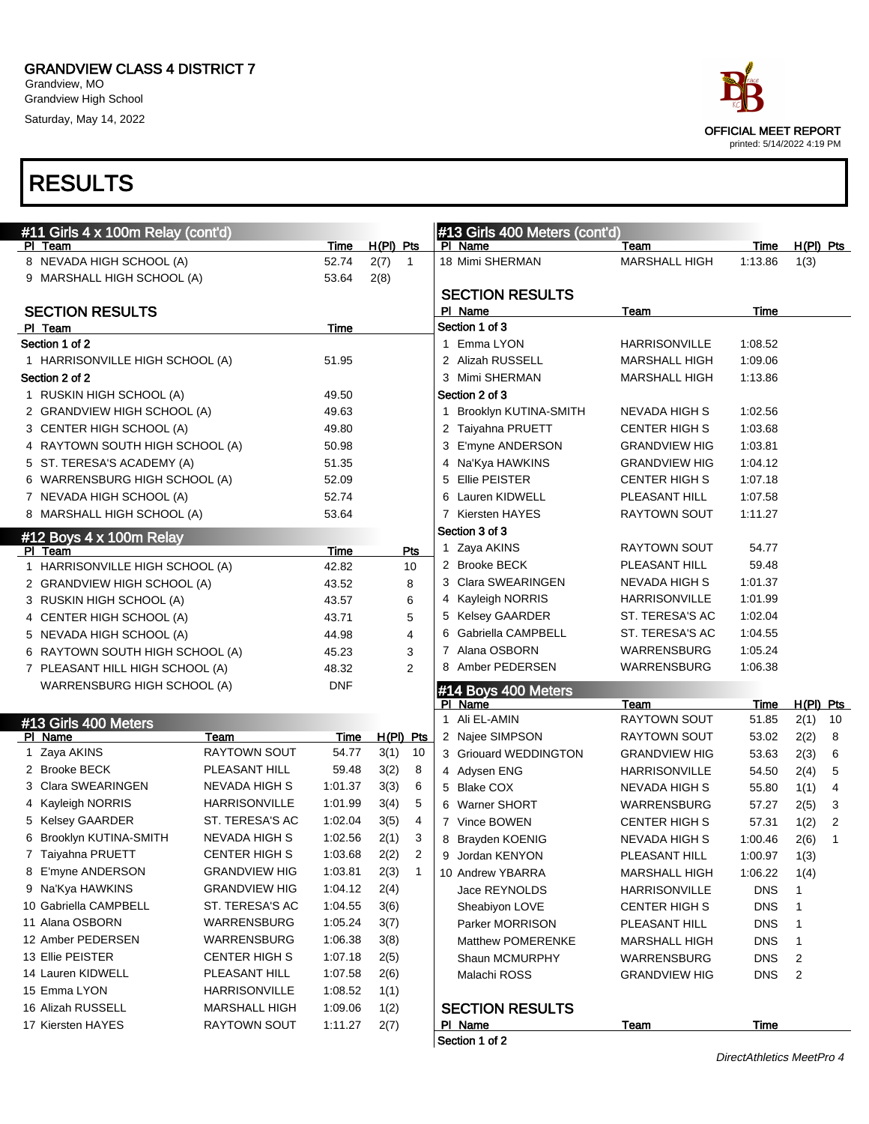Grandview, MO Grandview High School Saturday, May 14, 2022

## RESULTS

| #11 Girls 4 x 100m Relay (cont'd) |                      |            |             |                                                            |   | #13 Girls 400 Meters (cont'd) |                      |             |                |                |
|-----------------------------------|----------------------|------------|-------------|------------------------------------------------------------|---|-------------------------------|----------------------|-------------|----------------|----------------|
| PI Team                           |                      | Time       | $H(PI)$ Pts |                                                            |   | PI Name                       | Team                 | Time        | $H(PI)$ Pts    |                |
| 8 NEVADA HIGH SCHOOL (A)          |                      | 52.74      | 2(7)        | $\overline{1}$                                             |   | 18 Mimi SHERMAN               | <b>MARSHALL HIGH</b> | 1:13.86     | 1(3)           |                |
| 9 MARSHALL HIGH SCHOOL (A)        |                      | 53.64      | 2(8)        |                                                            |   |                               |                      |             |                |                |
|                                   |                      |            |             |                                                            |   | <b>SECTION RESULTS</b>        |                      |             |                |                |
| <b>SECTION RESULTS</b>            |                      |            |             |                                                            |   | PI Name                       | Team                 | Time        |                |                |
| PI Team                           |                      | Time       |             |                                                            |   | Section 1 of 3                |                      |             |                |                |
| Section 1 of 2                    |                      |            |             |                                                            |   | 1 Emma LYON                   | <b>HARRISONVILLE</b> | 1:08.52     |                |                |
| 1 HARRISONVILLE HIGH SCHOOL (A)   |                      | 51.95      |             |                                                            |   | 2 Alizah RUSSELL              | <b>MARSHALL HIGH</b> | 1:09.06     |                |                |
| Section 2 of 2                    |                      |            |             |                                                            |   | 3 Mimi SHERMAN                | <b>MARSHALL HIGH</b> | 1:13.86     |                |                |
| 1 RUSKIN HIGH SCHOOL (A)          |                      | 49.50      |             |                                                            |   | Section 2 of 3                |                      |             |                |                |
| 2 GRANDVIEW HIGH SCHOOL (A)       |                      | 49.63      |             | 1 Brooklyn KUTINA-SMITH<br>1:02.56<br><b>NEVADA HIGH S</b> |   |                               |                      |             |                |                |
| 3 CENTER HIGH SCHOOL (A)          |                      | 49.80      |             |                                                            |   | 2 Taiyahna PRUETT             | <b>CENTER HIGH S</b> | 1:03.68     |                |                |
| 4 RAYTOWN SOUTH HIGH SCHOOL (A)   |                      | 50.98      |             |                                                            |   | 3 E'myne ANDERSON             | <b>GRANDVIEW HIG</b> | 1:03.81     |                |                |
| 5 ST. TERESA'S ACADEMY (A)        |                      | 51.35      |             |                                                            |   | 4 Na'Kya HAWKINS              | <b>GRANDVIEW HIG</b> | 1:04.12     |                |                |
| 6 WARRENSBURG HIGH SCHOOL (A)     |                      | 52.09      |             |                                                            |   | 5 Ellie PEISTER               | <b>CENTER HIGH S</b> | 1:07.18     |                |                |
| 7 NEVADA HIGH SCHOOL (A)          |                      | 52.74      |             |                                                            |   | 6 Lauren KIDWELL              | PLEASANT HILL        | 1:07.58     |                |                |
| 8 MARSHALL HIGH SCHOOL (A)        |                      | 53.64      |             |                                                            |   | 7 Kiersten HAYES              | <b>RAYTOWN SOUT</b>  | 1:11.27     |                |                |
| #12 Boys 4 x 100m Relay           |                      |            |             |                                                            |   | Section 3 of 3                |                      |             |                |                |
| PI Team                           |                      | Time       |             | <b>Pts</b>                                                 |   | 1 Zaya AKINS                  | RAYTOWN SOUT         | 54.77       |                |                |
| 1 HARRISONVILLE HIGH SCHOOL (A)   |                      | 42.82      |             | 10                                                         |   | 2 Brooke BECK                 | PLEASANT HILL        | 59.48       |                |                |
| 2 GRANDVIEW HIGH SCHOOL (A)       |                      | 43.52      |             | 8                                                          |   | 3 Clara SWEARINGEN            | <b>NEVADA HIGH S</b> | 1:01.37     |                |                |
| 3 RUSKIN HIGH SCHOOL (A)          |                      | 43.57      |             | 6                                                          |   | 4 Kayleigh NORRIS             | <b>HARRISONVILLE</b> | 1:01.99     |                |                |
| 4 CENTER HIGH SCHOOL (A)          |                      | 43.71      |             | 5                                                          |   | 5 Kelsey GAARDER              | ST. TERESA'S AC      | 1:02.04     |                |                |
| 5 NEVADA HIGH SCHOOL (A)          |                      | 44.98      |             | 4                                                          | 6 | Gabriella CAMPBELL            | ST. TERESA'S AC      | 1:04.55     |                |                |
| 6 RAYTOWN SOUTH HIGH SCHOOL (A)   |                      | 45.23      |             | 3                                                          |   | 7 Alana OSBORN                | <b>WARRENSBURG</b>   | 1:05.24     |                |                |
| 7 PLEASANT HILL HIGH SCHOOL (A)   |                      | 48.32      |             | $\overline{2}$                                             |   | 8 Amber PEDERSEN              | <b>WARRENSBURG</b>   | 1:06.38     |                |                |
| WARRENSBURG HIGH SCHOOL (A)       |                      | <b>DNF</b> |             |                                                            |   | #14 Boys 400 Meters           |                      |             |                |                |
|                                   |                      |            |             |                                                            |   | PI Name                       | Team                 | <u>Time</u> | H(PI) Pts      |                |
| #13 Girls 400 Meters              |                      |            |             |                                                            |   | 1 Ali EL-AMIN                 | RAYTOWN SOUT         | 51.85       | 2(1)           | 10             |
| PI Name                           | Team                 | Time       | $H(PI)$ Pts |                                                            |   | 2 Najee SIMPSON               | RAYTOWN SOUT         | 53.02       | 2(2)           | 8              |
| 1 Zaya AKINS                      | <b>RAYTOWN SOUT</b>  | 54.77      | 3(1)        | 10                                                         |   | 3 Griouard WEDDINGTON         | <b>GRANDVIEW HIG</b> | 53.63       | 2(3)           | 6              |
| 2 Brooke BECK                     | PLEASANT HILL        | 59.48      | 3(2)        | 8                                                          |   | 4 Adysen ENG                  | <b>HARRISONVILLE</b> | 54.50       | 2(4)           | 5              |
| 3 Clara SWEARINGEN                | <b>NEVADA HIGH S</b> | 1:01.37    | 3(3)        | 6                                                          |   | 5 Blake COX                   | NEVADA HIGH S        | 55.80       | 1(1)           | 4              |
| 4 Kayleigh NORRIS                 | HARRISONVILLE        | 1:01.99    | 3(4)        | 5                                                          |   | 6 Warner SHORT                | WARRENSBURG          | 57.27       | 2(5)           | 3              |
| 5 Kelsey GAARDER                  | ST. TERESA'S AC      | 1:02.04    | 3(5)        | 4                                                          |   | 7 Vince BOWEN                 | <b>CENTER HIGH S</b> | 57.31       | 1(2)           | $\overline{2}$ |
| 6 Brooklyn KUTINA-SMITH           | <b>NEVADA HIGH S</b> | 1:02.56    | 2(1)        | 3                                                          |   | 8 Brayden KOENIG              | <b>NEVADA HIGH S</b> | 1:00.46     | 2(6)           | 1              |
| 7 Taiyahna PRUETT                 | CENTER HIGH S        | 1:03.68    | 2(2)        | 2                                                          |   | 9 Jordan KENYON               | PLEASANT HILL        | 1:00.97     | 1(3)           |                |
| 8 E'myne ANDERSON                 | <b>GRANDVIEW HIG</b> | 1:03.81    | 2(3)        | $\overline{1}$                                             |   | 10 Andrew YBARRA              | <b>MARSHALL HIGH</b> | 1:06.22     | 1(4)           |                |
| 9 Na'Kya HAWKINS                  | <b>GRANDVIEW HIG</b> | 1:04.12    | 2(4)        |                                                            |   | Jace REYNOLDS                 | <b>HARRISONVILLE</b> | <b>DNS</b>  | 1              |                |
| 10 Gabriella CAMPBELL             | ST. TERESA'S AC      | 1:04.55    | 3(6)        |                                                            |   | Sheabiyon LOVE                | <b>CENTER HIGH S</b> | <b>DNS</b>  | 1              |                |
| 11 Alana OSBORN                   | WARRENSBURG          | 1:05.24    | 3(7)        |                                                            |   | Parker MORRISON               | PLEASANT HILL        | DNS         | 1              |                |
| 12 Amber PEDERSEN                 | WARRENSBURG          | 1:06.38    | 3(8)        |                                                            |   | Matthew POMERENKE             | <b>MARSHALL HIGH</b> | <b>DNS</b>  | 1              |                |
| 13 Ellie PEISTER                  | <b>CENTER HIGH S</b> | 1:07.18    | 2(5)        |                                                            |   | Shaun MCMURPHY                | WARRENSBURG          | DNS         | $\overline{2}$ |                |
| 14 Lauren KIDWELL                 | PLEASANT HILL        | 1:07.58    | 2(6)        |                                                            |   | Malachi ROSS                  | <b>GRANDVIEW HIG</b> | <b>DNS</b>  | $\overline{2}$ |                |
| 15 Emma LYON                      | <b>HARRISONVILLE</b> | 1:08.52    | 1(1)        |                                                            |   |                               |                      |             |                |                |
| 16 Alizah RUSSELL                 | <b>MARSHALL HIGH</b> | 1:09.06    | 1(2)        |                                                            |   | <b>SECTION RESULTS</b>        |                      |             |                |                |
| 17 Kiersten HAYES                 | RAYTOWN SOUT         | 1:11.27    | 2(7)        |                                                            |   | PI Name                       | <u>Team</u>          | <b>Time</b> |                |                |





printed: 5/14/2022 4:19 PM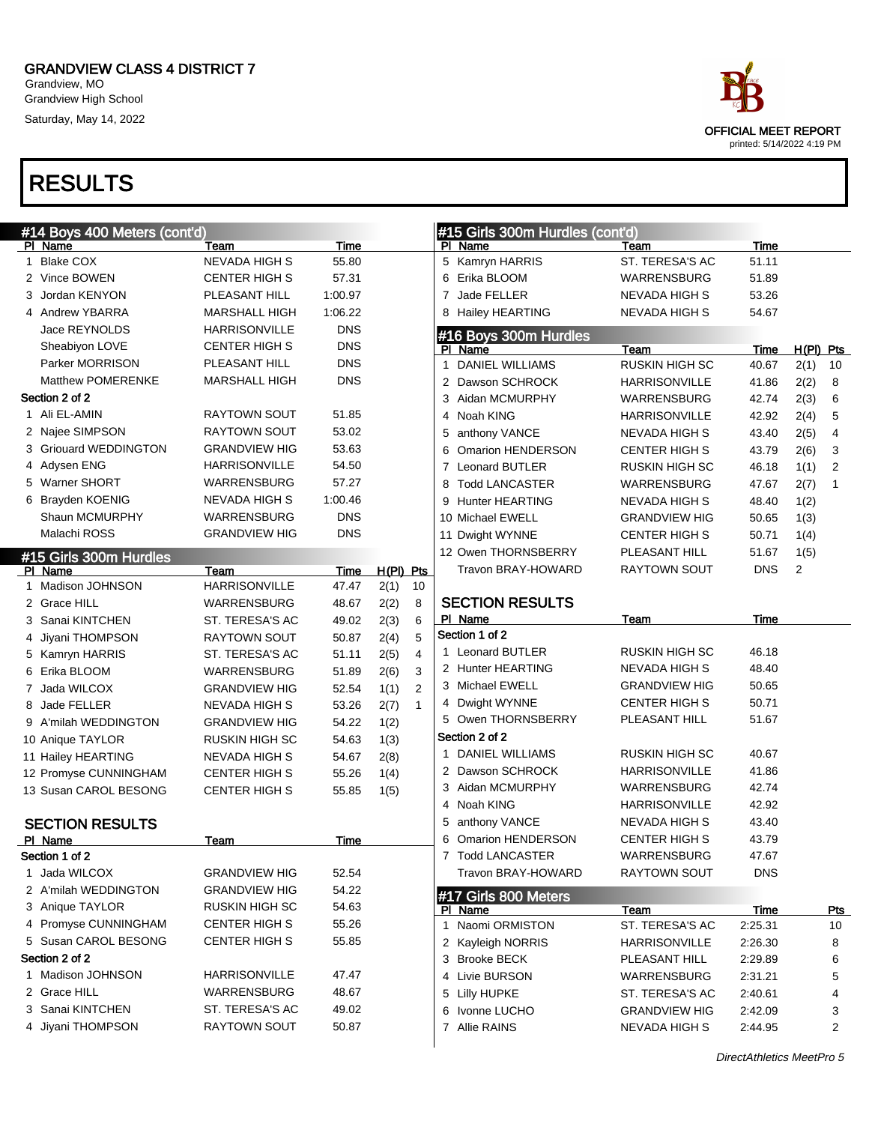Grandview, MO Grandview High School Saturday, May 14, 2022

|   | #14 Boys 400 Meters (cont'd)      |                      |            |             |              |                | #15 Girls 300m Hurdles (cont'd) |                       |             |            |                |
|---|-----------------------------------|----------------------|------------|-------------|--------------|----------------|---------------------------------|-----------------------|-------------|------------|----------------|
|   | PI Name                           | Team                 | Time       |             |              |                | PI Name                         | Team                  | Time        |            |                |
|   | 1 Blake COX                       | <b>NEVADA HIGH S</b> | 55.80      |             |              |                | 5 Kamryn HARRIS                 | ST. TERESA'S AC       | 51.11       |            |                |
|   | 2 Vince BOWEN                     | <b>CENTER HIGH S</b> | 57.31      |             |              | 6              | Erika BLOOM                     | WARRENSBURG           | 51.89       |            |                |
| 3 | Jordan KENYON                     | PLEASANT HILL        | 1:00.97    |             |              | 7              | Jade FELLER                     | <b>NEVADA HIGH S</b>  | 53.26       |            |                |
|   | 4 Andrew YBARRA                   | <b>MARSHALL HIGH</b> | 1:06.22    |             |              | 8              | <b>Hailey HEARTING</b>          | <b>NEVADA HIGH S</b>  | 54.67       |            |                |
|   | Jace REYNOLDS                     | <b>HARRISONVILLE</b> | <b>DNS</b> |             |              |                | #16 Boys 300m Hurdles           |                       |             |            |                |
|   | Sheabiyon LOVE                    | <b>CENTER HIGH S</b> | <b>DNS</b> |             |              |                | PI Name                         | Team                  | Time        | $H(PI)$ Pt |                |
|   | Parker MORRISON                   | PLEASANT HILL        | <b>DNS</b> |             |              | 1              | <b>DANIEL WILLIAMS</b>          | <b>RUSKIN HIGH SC</b> | 40.67       | $2(1)$ 10  |                |
|   | <b>Matthew POMERENKE</b>          | <b>MARSHALL HIGH</b> | <b>DNS</b> |             |              | 2              | Dawson SCHROCK                  | <b>HARRISONVILLE</b>  | 41.86       | 2(2)       | 8              |
|   | Section 2 of 2                    |                      |            |             |              | 3              | Aidan MCMURPHY                  | WARRENSBURG           | 42.74       | 2(3)       | 6              |
|   | 1 Ali EL-AMIN                     | <b>RAYTOWN SOUT</b>  | 51.85      |             |              | 4              | Noah KING                       | <b>HARRISONVILLE</b>  | 42.92       | 2(4)       | 5              |
|   | 2 Najee SIMPSON                   | <b>RAYTOWN SOUT</b>  | 53.02      |             |              | 5              | anthony VANCE                   | <b>NEVADA HIGH S</b>  | 43.40       | 2(5)       | 4              |
|   | 3 Griouard WEDDINGTON             | <b>GRANDVIEW HIG</b> | 53.63      |             |              | 6              | Omarion HENDERSON               | <b>CENTER HIGH S</b>  | 43.79       | 2(6)       | 3              |
|   | 4 Adysen ENG                      | <b>HARRISONVILLE</b> | 54.50      |             |              | $\overline{7}$ | <b>Leonard BUTLER</b>           | <b>RUSKIN HIGH SC</b> | 46.18       | 1(1)       | $\overline{2}$ |
|   | 5 Warner SHORT                    | WARRENSBURG          | 57.27      |             |              | 8              | <b>Todd LANCASTER</b>           | <b>WARRENSBURG</b>    | 47.67       | 2(7)       | $\mathbf{1}$   |
|   | 6 Brayden KOENIG                  | <b>NEVADA HIGH S</b> | 1:00.46    |             |              | 9              | <b>Hunter HEARTING</b>          | <b>NEVADA HIGH S</b>  | 48.40       | 1(2)       |                |
|   | Shaun MCMURPHY                    | WARRENSBURG          | <b>DNS</b> |             |              |                | 10 Michael EWELL                | <b>GRANDVIEW HIG</b>  | 50.65       | 1(3)       |                |
|   | Malachi ROSS                      | <b>GRANDVIEW HIG</b> | <b>DNS</b> |             |              |                | 11 Dwight WYNNE                 | CENTER HIGH S         | 50.71       | 1(4)       |                |
|   |                                   |                      |            |             |              |                | 12 Owen THORNSBERRY             | PLEASANT HILL         | 51.67       | 1(5)       |                |
|   | #15 Girls 300m Hurdles<br>PI Name | Team                 | Time       | $H(PI)$ Pts |              |                | Travon BRAY-HOWARD              | <b>RAYTOWN SOUT</b>   | <b>DNS</b>  | 2          |                |
|   | 1 Madison JOHNSON                 | <b>HARRISONVILLE</b> | 47.47      | 2(1)        | 10           |                |                                 |                       |             |            |                |
|   | 2 Grace HILL                      | WARRENSBURG          | 48.67      | 2(2)        | 8            |                | <b>SECTION RESULTS</b>          |                       |             |            |                |
|   | 3 Sanai KINTCHEN                  | ST. TERESA'S AC      | 49.02      | 2(3)        | 6            |                | PI Name                         | Team                  | Time        |            |                |
| 4 | Jiyani THOMPSON                   | <b>RAYTOWN SOUT</b>  | 50.87      | 2(4)        | 5            |                | Section 1 of 2                  |                       |             |            |                |
| 5 | Kamryn HARRIS                     | ST. TERESA'S AC      | 51.11      | 2(5)        | 4            |                | 1 Leonard BUTLER                | <b>RUSKIN HIGH SC</b> | 46.18       |            |                |
| 6 | Erika BLOOM                       | WARRENSBURG          | 51.89      | 2(6)        | 3            |                | 2 Hunter HEARTING               | <b>NEVADA HIGH S</b>  | 48.40       |            |                |
|   | 7 Jada WILCOX                     | <b>GRANDVIEW HIG</b> | 52.54      | 1(1)        | 2            |                | 3 Michael EWELL                 | <b>GRANDVIEW HIG</b>  | 50.65       |            |                |
| 8 | Jade FELLER                       | <b>NEVADA HIGH S</b> | 53.26      | 2(7)        | $\mathbf{1}$ | 4              | Dwight WYNNE                    | <b>CENTER HIGH S</b>  | 50.71       |            |                |
| 9 | A'milah WEDDINGTON                | <b>GRANDVIEW HIG</b> | 54.22      |             |              |                | 5 Owen THORNSBERRY              | PLEASANT HILL         | 51.67       |            |                |
|   |                                   |                      |            | 1(2)        |              |                | Section 2 of 2                  |                       |             |            |                |
|   | 10 Anique TAYLOR                  | RUSKIN HIGH SC       | 54.63      | 1(3)        |              |                | DANIEL WILLIAMS                 | <b>RUSKIN HIGH SC</b> | 40.67       |            |                |
|   | 11 Hailey HEARTING                | NEVADA HIGH S        | 54.67      | 2(8)        |              |                | 2 Dawson SCHROCK                | <b>HARRISONVILLE</b>  | 41.86       |            |                |
|   | 12 Promyse CUNNINGHAM             | <b>CENTER HIGH S</b> | 55.26      | 1(4)        |              |                | 3 Aidan MCMURPHY                | WARRENSBURG           | 42.74       |            |                |
|   | 13 Susan CAROL BESONG             | <b>CENTER HIGH S</b> | 55.85      | 1(5)        |              | 4              | Noah KING                       | HARRISONVILLE         | 42.92       |            |                |
|   |                                   |                      |            |             |              | 5              | anthony VANCE                   | <b>NEVADA HIGH S</b>  | 43.40       |            |                |
|   | <b>SECTION RESULTS</b>            |                      |            |             |              | 6              | Omarion HENDERSON               | <b>CENTER HIGH S</b>  | 43.79       |            |                |
|   | PI Name                           | Team                 | Time       |             |              |                |                                 |                       | 47.67       |            |                |
|   | Section 1 of 2                    |                      |            |             |              |                | 7 Todd LANCASTER                | WARRENSBURG           |             |            |                |
|   | 1 Jada WILCOX                     | <b>GRANDVIEW HIG</b> | 52.54      |             |              |                | Travon BRAY-HOWARD              | RAYTOWN SOUT          | <b>DNS</b>  |            |                |
|   | 2 A'milah WEDDINGTON              | <b>GRANDVIEW HIG</b> | 54.22      |             |              |                | #17 Girls 800 Meters            |                       |             |            |                |
|   | 3 Anique TAYLOR                   | RUSKIN HIGH SC       | 54.63      |             |              |                | PI Name                         | Team                  | <b>Time</b> |            | P <sub>t</sub> |
|   | 4 Promyse CUNNINGHAM              | <b>CENTER HIGH S</b> | 55.26      |             |              | 1.             | Naomi ORMISTON                  | ST. TERESA'S AC       | 2:25.31     |            | 10             |
|   | 5 Susan CAROL BESONG              | CENTER HIGH S        | 55.85      |             |              |                | 2 Kayleigh NORRIS               | HARRISONVILLE         | 2:26.30     |            | 8              |
|   | Section 2 of 2                    |                      |            |             |              |                | 3 Brooke BECK                   | PLEASANT HILL         | 2:29.89     |            | 6              |
|   | 1 Madison JOHNSON                 | HARRISONVILLE        | 47.47      |             |              |                | 4 Livie BURSON                  | WARRENSBURG           | 2:31.21     |            | 5              |
|   | 2 Grace HILL                      | WARRENSBURG          | 48.67      |             |              | 5              | <b>Lilly HUPKE</b>              | ST. TERESA'S AC       | 2:40.61     |            | 4              |
|   | 3 Sanai KINTCHEN                  | ST. TERESA'S AC      | 49.02      |             |              | 6              | Ivonne LUCHO                    | <b>GRANDVIEW HIG</b>  | 2:42.09     |            | 3              |
|   | 4 Jiyani THOMPSON                 | <b>RAYTOWN SOUT</b>  | 50.87      |             |              |                | 7 Allie RAINS                   | <b>NEVADA HIGH S</b>  | 2:44.95     |            | 2              |
|   |                                   |                      |            |             |              |                |                                 |                       |             |            |                |



|   | 6 Erika BLOOM          | WARRENSBURG           | 51.89       |             |             |
|---|------------------------|-----------------------|-------------|-------------|-------------|
|   | 7 Jade FELLER          | <b>NEVADA HIGH S</b>  | 53.26       |             |             |
|   | 8 Hailey HEARTING      | <b>NEVADA HIGH S</b>  | 54.67       |             |             |
|   | #16 Boys 300m Hurdles  |                       |             |             |             |
|   | PI Name                | Team                  | <u>Time</u> | $H(PI)$ Pts |             |
| 1 | <b>DANIEL WILLIAMS</b> | <b>RUSKIN HIGH SC</b> | 40.67       | 2(1)        | 10          |
|   | 2 Dawson SCHROCK       | <b>HARRISONVILLE</b>  | 41.86       | 2(2)        | 8           |
|   | 3 Aidan MCMURPHY       | <b>WARRENSBURG</b>    | 42.74       | 2(3)        | 6           |
|   | 4 Noah KING            | <b>HARRISONVILLE</b>  | 42.92       | 2(4)        | 5           |
|   | 5 anthony VANCE        | <b>NEVADA HIGH S</b>  | 43.40       | 2(5)        | 4           |
|   | 6 Omarion HENDERSON    | <b>CENTER HIGH S</b>  | 43.79       | 2(6)        | 3           |
|   | 7 Leonard BUTLER       | <b>RUSKIN HIGH SC</b> | 46.18       | 1(1)        | 2           |
| 8 | <b>Todd LANCASTER</b>  | <b>WARRENSBURG</b>    | 47.67       | 2(7)        | 1           |
|   | 9 Hunter HEARTING      | <b>NEVADA HIGH S</b>  | 48.40       | 1(2)        |             |
|   | 10 Michael EWELL       | <b>GRANDVIEW HIG</b>  | 50.65       | 1(3)        |             |
|   | 11 Dwight WYNNE        | <b>CENTER HIGH S</b>  | 50.71       | 1(4)        |             |
|   | 12 Owen THORNSBERRY    | PLEASANT HILL         | 51.67       | 1(5)        |             |
|   | Travon BRAY-HOWARD     | <b>RAYTOWN SOUT</b>   | DNS         | 2           |             |
|   |                        |                       |             |             |             |
|   | <b>SECTION RESULTS</b> |                       |             |             |             |
|   | PI Name                | <b>Team</b>           | <b>Time</b> |             |             |
|   | Section 1 of 2         |                       |             |             |             |
|   | 1 Leonard BUTLER       | <b>RUSKIN HIGH SC</b> | 46.18       |             |             |
|   | 2 Hunter HEARTING      | <b>NEVADA HIGH S</b>  | 48.40       |             |             |
|   | 3 Michael EWELL        | <b>GRANDVIEW HIG</b>  | 50.65       |             |             |
|   | 4 Dwight WYNNE         | <b>CENTER HIGH S</b>  | 50.71       |             |             |
|   | 5 Owen THORNSBERRY     | PLEASANT HILL         | 51.67       |             |             |
|   | Section 2 of 2         |                       |             |             |             |
|   | 1 DANIEL WILLIAMS      | <b>RUSKIN HIGH SC</b> | 40.67       |             |             |
|   | 2 Dawson SCHROCK       | <b>HARRISONVILLE</b>  | 41.86       |             |             |
|   | 3 Aidan MCMURPHY       | <b>WARRENSBURG</b>    | 42.74       |             |             |
|   | 4 Noah KING            | <b>HARRISONVILLE</b>  | 42.92       |             |             |
|   | 5 anthony VANCE        | <b>NEVADA HIGH S</b>  | 43.40       |             |             |
|   | 6 Omarion HENDERSON    | <b>CENTER HIGH S</b>  | 43.79       |             |             |
|   | 7 Todd LANCASTER       | <b>WARRENSBURG</b>    | 47.67       |             |             |
|   | Travon BRAY-HOWARD     | <b>RAYTOWN SOUT</b>   | DNS         |             |             |
|   | #17 Girls 800 Meters   |                       |             |             |             |
|   | <u>PI Name</u>         | <b>Team</b>           | <u>Time</u> |             | <u>rts_</u> |
|   | 1 Naomi ORMISTON       | ST. TERESA'S AC       | 2:25.31     |             | 10          |
|   | 2 Kayleigh NORRIS      | <b>HARRISONVILLE</b>  | 2:26.30     |             | 8           |
|   | 3 Brooke BECK          | PLEASANT HILL         | 2:29.89     |             | 6           |
|   | 4 Livie BURSON         | <b>WARRENSBURG</b>    | 2:31.21     |             | 5           |
|   | 5 Lilly HUPKE          | ST. TERESA'S AC       | 2:40.61     |             | 4           |
|   | 6 Ivonne LUCHO         | <b>GRANDVIEW HIG</b>  | 2:42.09     |             | 3           |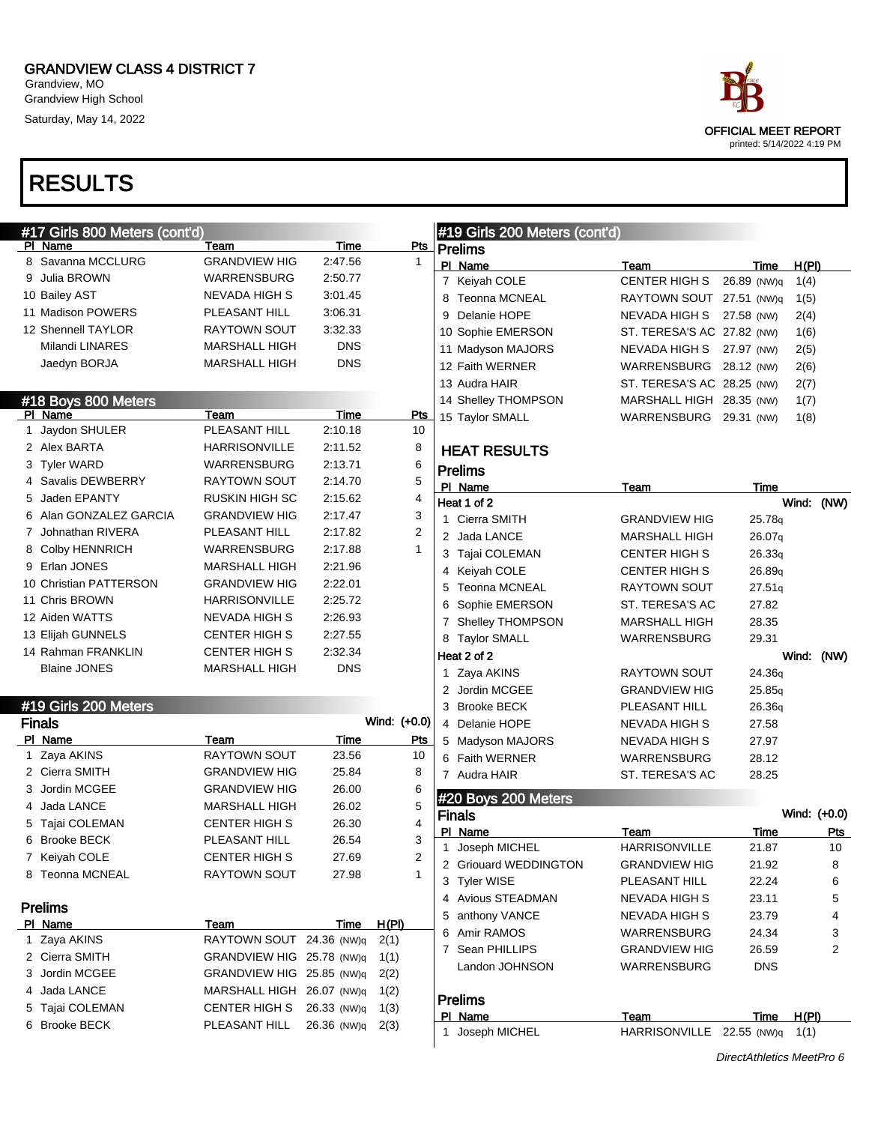Grandview, MO Grandview High School Saturday, May 14, 2022

# RESULTS



|             | #17 Girls 800 Meters (cont'd) |                           |             |              | #19 Girls 200 Meters (cont'd) |                                              |                |              |           |
|-------------|-------------------------------|---------------------------|-------------|--------------|-------------------------------|----------------------------------------------|----------------|--------------|-----------|
|             | PI Name                       | Team                      | Time        | <u>Pts</u>   | Prelims                       |                                              |                |              |           |
|             | 8 Savanna MCCLURG             | <b>GRANDVIEW HIG</b>      | 2:47.56     | $\mathbf{1}$ | PI Name                       | Team                                         | Time           | H(PI)        |           |
|             | 9 Julia BROWN                 | WARRENSBURG               | 2:50.77     |              | 7 Keiyah COLE                 | <b>CENTER HIGH S</b>                         | 26.89 (NW)q    | 1(4)         |           |
|             | 10 Bailey AST                 | NEVADA HIGH S             | 3:01.45     |              | 8 Teonna MCNEAL               | RAYTOWN SOUT 27.51 (NW)q                     |                | 1(5)         |           |
|             | 11 Madison POWERS             | PLEASANT HILL             | 3:06.31     |              | Delanie HOPE<br>9             | NEVADA HIGH S 27.58 (NW)                     |                | 2(4)         |           |
|             | 12 Shennell TAYLOR            | RAYTOWN SOUT              | 3:32.33     |              | 10 Sophie EMERSON             | ST. TERESA'S AC 27.82 (NW)                   |                | 1(6)         |           |
|             | Milandi LINARES               | <b>MARSHALL HIGH</b>      | <b>DNS</b>  |              | 11 Madyson MAJORS             | NEVADA HIGH S 27.97 (NW)                     |                | 2(5)         |           |
|             | Jaedyn BORJA                  | <b>MARSHALL HIGH</b>      | <b>DNS</b>  |              | 12 Faith WERNER               | WARRENSBURG 28.12 (NW)                       |                | 2(6)         |           |
|             |                               |                           |             |              | 13 Audra HAIR                 | ST. TERESA'S AC 28.25 (NW)                   |                | 2(7)         |           |
|             | #18 Boys 800 Meters           |                           |             |              | 14 Shelley THOMPSON           | MARSHALL HIGH 28.35 (NW)                     |                | 1(7)         |           |
|             | PI Name                       | Team                      | Time        | <b>Pts</b>   | 15 Taylor SMALL               | WARRENSBURG 29.31 (NW)                       |                | 1(8)         |           |
| $\mathbf 1$ | Jaydon SHULER                 | PLEASANT HILL             | 2:10.18     | 10           |                               |                                              |                |              |           |
|             | 2 Alex BARTA                  | <b>HARRISONVILLE</b>      | 2:11.52     | 8            | <b>HEAT RESULTS</b>           |                                              |                |              |           |
|             | 3 Tyler WARD                  | WARRENSBURG               | 2:13.71     | 6            | <b>Prelims</b>                |                                              |                |              |           |
|             | 4 Savalis DEWBERRY            | <b>RAYTOWN SOUT</b>       | 2:14.70     | $\mathbf 5$  | PI Name                       | Team                                         | Time           |              |           |
|             | 5 Jaden EPANTY                | <b>RUSKIN HIGH SC</b>     | 2:15.62     | 4            | Heat 1 of 2                   |                                              |                | Wind: (NW)   |           |
|             | 6 Alan GONZALEZ GARCIA        | <b>GRANDVIEW HIG</b>      | 2:17.47     | 3            | 1 Cierra SMITH                | <b>GRANDVIEW HIG</b>                         | 25.78q         |              |           |
|             | 7 Johnathan RIVERA            | PLEASANT HILL             | 2:17.82     | 2            | 2 Jada LANCE                  | <b>MARSHALL HIGH</b>                         | 26.07q         |              |           |
|             | 8 Colby HENNRICH              | WARRENSBURG               | 2:17.88     | $\mathbf{1}$ | 3 Tajai COLEMAN               | <b>CENTER HIGH S</b>                         | 26.33q         |              |           |
|             | 9 Erlan JONES                 | <b>MARSHALL HIGH</b>      | 2:21.96     |              | 4 Keiyah COLE                 | <b>CENTER HIGH S</b>                         | 26.89q         |              |           |
|             | 10 Christian PATTERSON        | <b>GRANDVIEW HIG</b>      | 2:22.01     |              | 5<br>Teonna MCNEAL            | RAYTOWN SOUT                                 | 27.51q         |              |           |
|             | 11 Chris BROWN                | <b>HARRISONVILLE</b>      | 2:25.72     |              | Sophie EMERSON<br>6           | ST. TERESA'S AC                              | 27.82          |              |           |
|             | 12 Aiden WATTS                | NEVADA HIGH S             | 2:26.93     |              | 7 Shelley THOMPSON            | <b>MARSHALL HIGH</b>                         | 28.35          |              |           |
|             | 13 Elijah GUNNELS             | <b>CENTER HIGH S</b>      | 2:27.55     |              | 8 Taylor SMALL                | WARRENSBURG                                  | 29.31          |              |           |
|             | 14 Rahman FRANKLIN            | <b>CENTER HIGH S</b>      | 2:32.34     |              | Heat 2 of 2                   |                                              |                | Wind: (NW)   |           |
|             | <b>Blaine JONES</b>           | <b>MARSHALL HIGH</b>      | <b>DNS</b>  |              | 1 Zaya AKINS                  | <b>RAYTOWN SOUT</b>                          | 24.36g         |              |           |
|             |                               |                           |             |              | 2 Jordin MCGEE                | <b>GRANDVIEW HIG</b>                         | 25.85q         |              |           |
|             | #19 Girls 200 Meters          |                           |             |              | 3 Brooke BECK                 | PLEASANT HILL                                | 26.36q         |              |           |
|             | <b>Finals</b>                 |                           |             | Wind: (+0.0) | 4 Delanie HOPE                | NEVADA HIGH S                                | 27.58          |              |           |
|             | PI Name                       | Team                      | <u>Time</u> | <u>Pts</u>   | 5 Madyson MAJORS              | NEVADA HIGH S                                | 27.97          |              |           |
|             | 1 Zaya AKINS                  | <b>RAYTOWN SOUT</b>       | 23.56       | 10           | 6 Faith WERNER                | WARRENSBURG                                  | 28.12          |              |           |
|             | 2 Cierra SMITH                | <b>GRANDVIEW HIG</b>      | 25.84       | 8            | 7 Audra HAIR                  | ST. TERESA'S AC                              | 28.25          |              |           |
|             | 3 Jordin MCGEE                | <b>GRANDVIEW HIG</b>      | 26.00       | 6            |                               |                                              |                |              |           |
|             | 4 Jada LANCE                  | <b>MARSHALL HIGH</b>      | 26.02       | $\mathbf 5$  | #20 Boys 200 Meters           |                                              |                | Wind: (+0.0) |           |
|             | 5 Tajai COLEMAN               | <b>CENTER HIGH S</b>      | 26.30       | 4            | <b>Finals</b>                 |                                              |                |              |           |
|             | 6 Brooke BECK                 | PLEASANT HILL             | 26.54       | 3            | PI Name<br>1<br>Joseph MICHEL | Team                                         | Time           |              | Pts<br>10 |
|             | 7 Keiyah COLE                 | <b>CENTER HIGH S</b>      | 27.69       | 2            | 2 Griouard WEDDINGTON         | <b>HARRISONVILLE</b><br><b>GRANDVIEW HIG</b> | 21.87<br>21.92 |              |           |
|             | 8 Teonna MCNEAL               | <b>RAYTOWN SOUT</b>       | 27.98       | $\mathbf{1}$ | 3 Tyler WISE                  | PLEASANT HILL                                | 22.24          |              | 8         |
|             |                               |                           |             |              | 4 Avious STEADMAN             | <b>NEVADA HIGH S</b>                         | 23.11          |              | 6<br>5    |
|             | <b>Prelims</b>                |                           |             |              |                               |                                              |                |              |           |
|             | PI Name                       | Team                      | Time        | H(PI)        | 5 anthony VANCE               | NEVADA HIGH S                                | 23.79          |              | 4         |
|             | 1 Zaya AKINS                  | RAYTOWN SOUT 24.36 (NW)q  |             | 2(1)         | 6 Amir RAMOS                  | <b>WARRENSBURG</b>                           | 24.34          |              | 3         |
|             | 2 Cierra SMITH                | GRANDVIEW HIG 25.78 (NW)q |             | 1(1)         | 7 Sean PHILLIPS               | <b>GRANDVIEW HIG</b>                         | 26.59          |              | 2         |
|             | 3 Jordin MCGEE                | GRANDVIEW HIG 25.85 (NW)q |             | 2(2)         | Landon JOHNSON                | WARRENSBURG                                  | <b>DNS</b>     |              |           |
|             | 4 Jada LANCE                  | MARSHALL HIGH 26.07 (NW)q |             | 1(2)         |                               |                                              |                |              |           |
|             | 5 Tajai COLEMAN               | <b>CENTER HIGH S</b>      | 26.33 (NW)q | 1(3)         | <b>Prelims</b>                |                                              |                |              |           |
|             | 6 Brooke BECK                 | PLEASANT HILL             | 26.36 (NW)q | 2(3)         | PI Name<br>1 Joseph MICHEL    | Team<br>HARRISONVILLE 22.55 (NW)q 1(1)       | <b>Time</b>    | H(PI)        |           |
|             |                               |                           |             |              |                               |                                              |                |              |           |

DirectAthletics MeetPro 6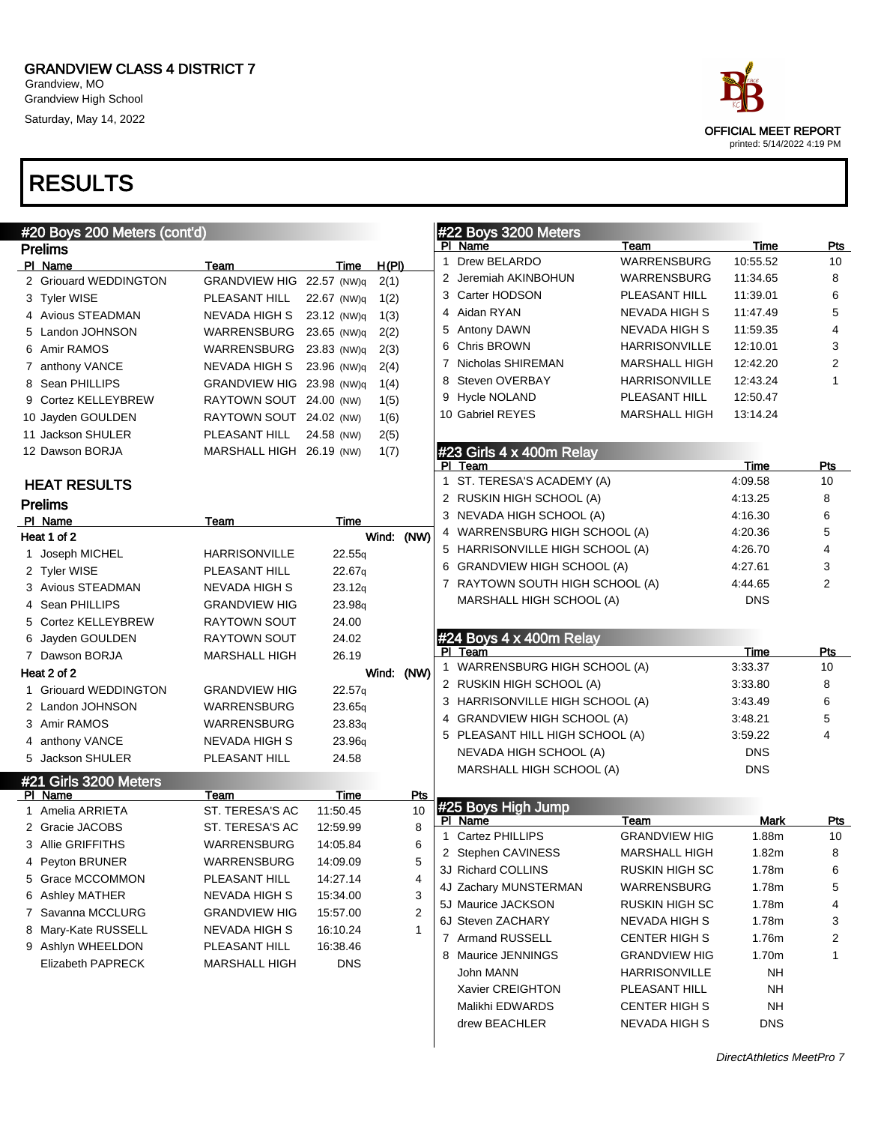Grandview, MO Grandview High School Saturday, May 14, 2022

| #20 Boys 200 Meters (cont'd) |                           |                    |            |                | #22 Boys 3200 Meters            |                      |            |                |
|------------------------------|---------------------------|--------------------|------------|----------------|---------------------------------|----------------------|------------|----------------|
| <b>Prelims</b>               |                           |                    |            |                | PI Name                         | Team                 | Time       | Pts            |
| PI Name                      | Team                      | Time               | H(PI)      |                | 1 Drew BELARDO                  | WARRENSBURG          | 10:55.52   | 10             |
| 2 Griouard WEDDINGTON        | GRANDVIEW HIG 22.57 (NW)q |                    | 2(1)       |                | 2 Jeremiah AKINBOHUN            | WARRENSBURG          | 11:34.65   | 8              |
| 3 Tyler WISE                 | PLEASANT HILL             | 22.67 (NW)q        | 1(2)       |                | 3 Carter HODSON                 | PLEASANT HILL        | 11:39.01   | 6              |
| 4 Avious STEADMAN            | NEVADA HIGH S             | 23.12 (NW)q        | 1(3)       |                | 4 Aidan RYAN                    | NEVADA HIGH S        | 11:47.49   | 5              |
| 5 Landon JOHNSON             | WARRENSBURG               | 23.65 (NW)q        | 2(2)       |                | 5 Antony DAWN                   | NEVADA HIGH S        | 11:59.35   | 4              |
| 6 Amir RAMOS                 | WARRENSBURG               | 23.83 (NW)q        | 2(3)       |                | <b>Chris BROWN</b>              | <b>HARRISONVILLE</b> | 12:10.01   | 3              |
| 7 anthony VANCE              | NEVADA HIGH S             | 23.96 (NW)q        | 2(4)       |                | 7 Nicholas SHIREMAN             | MARSHALL HIGH        | 12:42.20   | 2              |
| 8 Sean PHILLIPS              | GRANDVIEW HIG 23.98 (NW)q |                    | 1(4)       |                | 8 Steven OVERBAY                | <b>HARRISONVILLE</b> | 12:43.24   | 1              |
| 9 Cortez KELLEYBREW          | RAYTOWN SOUT 24.00 (NW)   |                    | 1(5)       |                | 9 Hycle NOLAND                  | PLEASANT HILL        | 12:50.47   |                |
| 10 Jayden GOULDEN            | RAYTOWN SOUT 24.02 (NW)   |                    | 1(6)       |                | 10 Gabriel REYES                | MARSHALL HIGH        | 13:14.24   |                |
| 11 Jackson SHULER            | PLEASANT HILL             | 24.58 (NW)         | 2(5)       |                |                                 |                      |            |                |
| 12 Dawson BORJA              | MARSHALL HIGH 26.19 (NW)  |                    | 1(7)       |                | #23 Girls 4 x 400m Relay        |                      |            |                |
|                              |                           |                    |            |                | PI Team                         |                      | Time       | Pts            |
| <b>HEAT RESULTS</b>          |                           |                    |            |                | 1 ST. TERESA'S ACADEMY (A)      |                      | 4:09.58    | 10             |
| <b>Prelims</b>               |                           |                    |            |                | 2 RUSKIN HIGH SCHOOL (A)        |                      | 4:13.25    | 8              |
| PI Name                      | Team                      | Time               |            |                | 3 NEVADA HIGH SCHOOL (A)        |                      | 4:16.30    | 6              |
| Heat 1 of 2                  |                           |                    | Wind: (NW) |                | 4 WARRENSBURG HIGH SCHOOL (A)   |                      | 4:20.36    | 5              |
| 1 Joseph MICHEL              | <b>HARRISONVILLE</b>      | 22.55q             |            |                | 5 HARRISONVILLE HIGH SCHOOL (A) |                      | 4:26.70    | 4              |
| 2 Tyler WISE                 | PLEASANT HILL             | 22.67q             |            |                | 6 GRANDVIEW HIGH SCHOOL (A)     |                      | 4:27.61    | 3              |
| 3 Avious STEADMAN            | NEVADA HIGH S             | 23.12q             |            |                | 7 RAYTOWN SOUTH HIGH SCHOOL (A) |                      | 4:44.65    | $\overline{2}$ |
| 4 Sean PHILLIPS              | <b>GRANDVIEW HIG</b>      | 23.98 <sub>q</sub> |            |                | MARSHALL HIGH SCHOOL (A)        |                      | DNS        |                |
| 5 Cortez KELLEYBREW          | RAYTOWN SOUT              | 24.00              |            |                |                                 |                      |            |                |
| 6 Jayden GOULDEN             | RAYTOWN SOUT              | 24.02              |            |                | $#24$ Boys 4 x 400m Relay       |                      |            |                |
| 7 Dawson BORJA               | <b>MARSHALL HIGH</b>      | 26.19              |            |                | PI Team                         |                      | Time       | Pts            |
| Heat 2 of 2                  |                           |                    | Wind:      | (NW)           | 1 WARRENSBURG HIGH SCHOOL (A)   |                      | 3:33.37    | 10             |
| 1 Griouard WEDDINGTON        |                           |                    |            |                | 2 RUSKIN HIGH SCHOOL (A)        |                      | 3:33.80    | 8              |
|                              | <b>GRANDVIEW HIG</b>      | 22.57q             |            |                | 3 HARRISONVILLE HIGH SCHOOL (A) |                      | 3:43.49    | 6              |
| 2 Landon JOHNSON             | WARRENSBURG               | 23.65q             |            |                | 4 GRANDVIEW HIGH SCHOOL (A)     |                      | 3:48.21    | 5              |
| 3 Amir RAMOS                 | <b>WARRENSBURG</b>        | 23.83q             |            |                | 5 PLEASANT HILL HIGH SCHOOL (A) |                      | 3:59.22    | 4              |
| 4 anthony VANCE              | NEVADA HIGH S             | 23.96 <sub>q</sub> |            |                | NEVADA HIGH SCHOOL (A)          |                      | DNS        |                |
| 5 Jackson SHULER             | PLEASANT HILL             | 24.58              |            |                | MARSHALL HIGH SCHOOL (A)        |                      | <b>DNS</b> |                |
| #21 Girls 3200 Meters        |                           |                    |            |                |                                 |                      |            |                |
| PI Name                      | Team                      | Time               |            | Pts            | #25 Boys High Jump              |                      |            |                |
| 1 Amelia ARRIETA             | ST. TERESA'S AC           | 11:50.45           |            | 10             | PI Name                         | Team                 | Mark       | <b>Pts</b>     |
| 2 Gracie JACOBS              | ST. TERESA'S AC           | 12:59.99           |            | 8              | 1 Cartez PHILLIPS               | <b>GRANDVIEW HIG</b> | 1.88m      | 10             |
| 3 Allie GRIFFITHS            | WARRENSBURG               | 14:05.84           |            | 6              | 2 Stephen CAVINESS              | MARSHALL HIGH        | 1.82m      | 8              |
| 4 Peyton BRUNER              | WARRENSBURG               | 14:09.09           |            | 5              | 3J Richard COLLINS              | RUSKIN HIGH SC       | 1.78m      | 6              |
| 5 Grace MCCOMMON             | PLEASANT HILL             | 14:27.14           |            | 4              | 4J Zachary MUNSTERMAN           | WARRENSBURG          | 1.78m      | 5              |
| 6 Ashley MATHER              | NEVADA HIGH S             | 15:34.00           |            | 3              | 5J Maurice JACKSON              | RUSKIN HIGH SC       | 1.78m      | 4              |
| 7 Savanna MCCLURG            | <b>GRANDVIEW HIG</b>      | 15:57.00           |            | $\overline{2}$ | 6J Steven ZACHARY               | NEVADA HIGH S        | 1.78m      | 3              |
| 8 Mary-Kate RUSSELL          | NEVADA HIGH S             | 16:10.24           |            | 1              | 7 Armand RUSSELL                | CENTER HIGH S        | 1.76m      | 2              |
| 9 Ashlyn WHEELDON            | PLEASANT HILL             | 16:38.46           |            |                | 8 Maurice JENNINGS              | <b>GRANDVIEW HIG</b> | 1.70m      | 1              |
| Elizabeth PAPRECK            | <b>MARSHALL HIGH</b>      | <b>DNS</b>         |            |                | John MANN                       | HARRISONVILLE        | ΝH         |                |
|                              |                           |                    |            |                | Xavier CREIGHTON                | PLEASANT HILL        | NΗ         |                |
|                              |                           |                    |            |                | Malikhi EDWARDS                 | <b>CENTER HIGH S</b> | NΗ         |                |
|                              |                           |                    |            |                | drew BEACHLER                   | NEVADA HIGH S        | <b>DNS</b> |                |

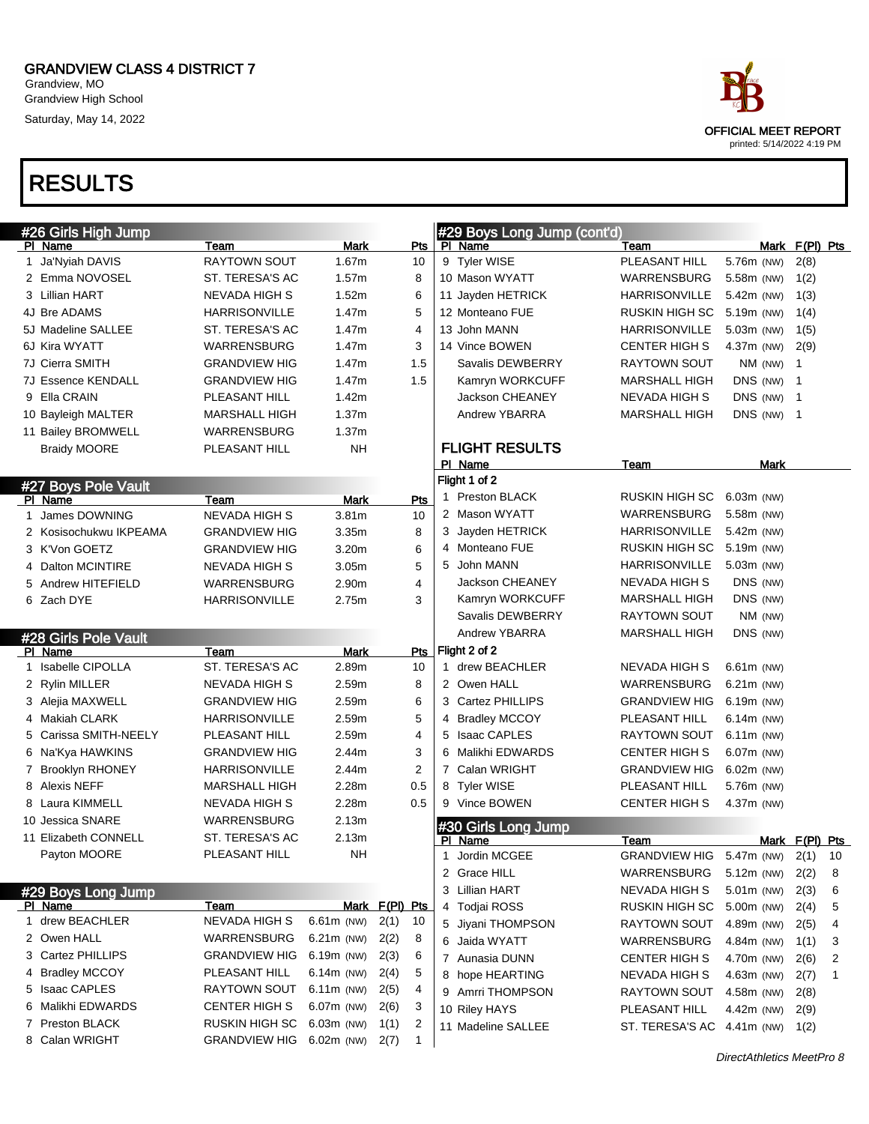Grandview, MO Grandview High School Saturday, May 14, 2022

# RESULTS

|   | #26 Girls High Jump    |                      |                          |                      |    | #29 Boys Long Jump (cont'd) |                            |              |            |                |    |
|---|------------------------|----------------------|--------------------------|----------------------|----|-----------------------------|----------------------------|--------------|------------|----------------|----|
|   | PI Name                | Team                 | <b>Mark</b>              | Pts                  |    | PI Name                     | Team                       |              |            | Mark F(PI) Pts |    |
|   | 1 Ja'Nyiah DAVIS       | <b>RAYTOWN SOUT</b>  | 1.67m                    | 10                   |    | 9 Tyler WISE                | PLEASANT HILL              | 5.76m (NW)   |            | 2(8)           |    |
|   | 2 Emma NOVOSEL         | ST. TERESA'S AC      | 1.57m                    | 8                    |    | 10 Mason WYATT              | WARRENSBURG                | 5.58m (NW)   |            | 1(2)           |    |
|   | 3 Lillian HART         | <b>NEVADA HIGH S</b> | 1.52m                    | 6                    |    | 11 Jayden HETRICK           | <b>HARRISONVILLE</b>       | 5.42m (NW)   |            | 1(3)           |    |
|   | 4J Bre ADAMS           | <b>HARRISONVILLE</b> | 1.47m                    | 5                    |    | 12 Monteano FUE             | RUSKIN HIGH SC             | 5.19m (NW)   |            | 1(4)           |    |
|   | 5J Madeline SALLEE     | ST. TERESA'S AC      | 1.47m                    | 4                    |    | 13 John MANN                | <b>HARRISONVILLE</b>       | 5.03m (NW)   |            | 1(5)           |    |
|   | 6J Kira WYATT          | WARRENSBURG          | 1.47m                    | 3                    |    | 14 Vince BOWEN              | <b>CENTER HIGH S</b>       | 4.37m (NW)   |            | 2(9)           |    |
|   | 7J Cierra SMITH        | <b>GRANDVIEW HIG</b> | 1.47m                    | 1.5                  |    | Savalis DEWBERRY            | <b>RAYTOWN SOUT</b>        |              | NM (NW)    | $\mathbf{1}$   |    |
|   | 7J Essence KENDALL     | <b>GRANDVIEW HIG</b> | 1.47m                    | 1.5                  |    | Kamryn WORKCUFF             | <b>MARSHALL HIGH</b>       | DNS (NW)     |            | $\mathbf 1$    |    |
|   | 9 Ella CRAIN           | PLEASANT HILL        | 1.42m                    |                      |    | Jackson CHEANEY             | <b>NEVADA HIGH S</b>       | DNS (NW)     |            | $\mathbf 1$    |    |
|   | 10 Bayleigh MALTER     | <b>MARSHALL HIGH</b> | 1.37m                    |                      |    | Andrew YBARRA               | <b>MARSHALL HIGH</b>       |              | DNS (NW) 1 |                |    |
|   | 11 Bailey BROMWELL     | <b>WARRENSBURG</b>   | 1.37 <sub>m</sub>        |                      |    |                             |                            |              |            |                |    |
|   | <b>Braidy MOORE</b>    | PLEASANT HILL        | <b>NH</b>                |                      |    | <b>FLIGHT RESULTS</b>       |                            |              |            |                |    |
|   |                        |                      |                          |                      |    | PI Name                     | Team                       |              | Mark       |                |    |
|   | #27 Boys Pole Vault    |                      |                          |                      |    | Flight 1 of 2               |                            |              |            |                |    |
|   | PI Name                | Team                 | Mark                     | Pts                  | 1. | Preston BLACK               | RUSKIN HIGH SC             | $6.03m$ (NW) |            |                |    |
|   | 1 James DOWNING        | <b>NEVADA HIGH S</b> | 3.81 <sub>m</sub>        | 10                   |    | 2 Mason WYATT               | WARRENSBURG                | 5.58m (NW)   |            |                |    |
|   | 2 Kosisochukwu IKPEAMA | <b>GRANDVIEW HIG</b> | 3.35m                    | 8                    |    | 3 Jayden HETRICK            | HARRISONVILLE              | 5.42m (NW)   |            |                |    |
|   | 3 K'Von GOETZ          | <b>GRANDVIEW HIG</b> | 3.20m                    | 6                    |    | 4 Monteano FUE              | RUSKIN HIGH SC             | 5.19m (NW)   |            |                |    |
|   | 4 Dalton MCINTIRE      | <b>NEVADA HIGH S</b> | 3.05 <sub>m</sub>        | 5                    |    | 5 John MANN                 | <b>HARRISONVILLE</b>       | 5.03m (NW)   |            |                |    |
|   | 5 Andrew HITEFIELD     | WARRENSBURG          | 2.90m                    | 4                    |    | Jackson CHEANEY             | NEVADA HIGH S              | DNS (NW)     |            |                |    |
|   | 6 Zach DYE             | <b>HARRISONVILLE</b> | 2.75m                    | 3                    |    | Kamryn WORKCUFF             | <b>MARSHALL HIGH</b>       | DNS (NW)     |            |                |    |
|   |                        |                      |                          |                      |    | Savalis DEWBERRY            | <b>RAYTOWN SOUT</b>        |              | NM (NW)    |                |    |
|   | #28 Girls Pole Vault   |                      |                          |                      |    | Andrew YBARRA               | <b>MARSHALL HIGH</b>       | DNS (NW)     |            |                |    |
|   | PI Name                | Team                 | Mark                     | Pts                  |    | Flight 2 of 2               |                            |              |            |                |    |
|   | 1 Isabelle CIPOLLA     | ST. TERESA'S AC      | 2.89m                    | 10                   |    | 1 drew BEACHLER             | NEVADA HIGH S              | $6.61m$ (NW) |            |                |    |
|   | 2 Rylin MILLER         | NEVADA HIGH S        | 2.59m                    | 8                    |    | 2 Owen HALL                 | WARRENSBURG                | $6.21m$ (NW) |            |                |    |
|   | 3 Alejia MAXWELL       | <b>GRANDVIEW HIG</b> | 2.59m                    | 6                    |    | 3 Cartez PHILLIPS           | <b>GRANDVIEW HIG</b>       | $6.19m$ (NW) |            |                |    |
|   | 4 Makiah CLARK         | <b>HARRISONVILLE</b> | 2.59m                    | 5                    |    | 4 Bradley MCCOY             | PLEASANT HILL              | $6.14m$ (NW) |            |                |    |
|   | 5 Carissa SMITH-NEELY  | PLEASANT HILL        | 2.59m                    | 4                    |    | 5 Isaac CAPLES              | RAYTOWN SOUT               | $6.11m$ (NW) |            |                |    |
|   | 6   Na'Kya HAWKINS     | <b>GRANDVIEW HIG</b> | 2.44m                    | 3                    | 6  | Malikhi EDWARDS             | <b>CENTER HIGH S</b>       | $6.07m$ (NW) |            |                |    |
|   | 7 Brooklyn RHONEY      | <b>HARRISONVILLE</b> | 2.44m                    | $\overline{2}$       |    | 7 Calan WRIGHT              | <b>GRANDVIEW HIG</b>       | $6.02m$ (NW) |            |                |    |
|   | 8 Alexis NEFF          | <b>MARSHALL HIGH</b> | 2.28m                    | 0.5                  |    | 8 Tyler WISE                | PLEASANT HILL              | 5.76m (NW)   |            |                |    |
|   | 8 Laura KIMMELL        | <b>NEVADA HIGH S</b> | 2.28m                    | 0.5                  |    | 9 Vince BOWEN               | <b>CENTER HIGH S</b>       | 4.37m (NW)   |            |                |    |
|   | 10 Jessica SNARE       | WARRENSBURG          | 2.13m                    |                      |    | #30 Girls Long Jump         |                            |              |            |                |    |
|   | 11 Elizabeth CONNELL   | ST. TERESA'S AC      | 2.13m                    |                      |    | PI Name                     | Team                       |              |            | Mark F(PI) Pts |    |
|   | Payton MOORE           | PLEASANT HILL        | <b>NH</b>                |                      | 1  | Jordin MCGEE                | <b>GRANDVIEW HIG</b>       | 5.47m (NW)   |            | 2(1)           | 10 |
|   |                        |                      |                          |                      |    | 2 Grace HILL                | WARRENSBURG                | $5.12m$ (NW) |            | 2(2)           | 8  |
|   | #29 Boys Long Jump     |                      |                          |                      |    | 3 Lillian HART              | NEVADA HIGH S              | 5.01m (NW)   |            | 2(3)           | 6  |
|   | PI Name                | Team                 |                          | Mark F(PI) Pts       |    | 4 Todjai ROSS               | RUSKIN HIGH SC             | 5.00m (NW)   |            | 2(4)           | 5  |
|   | 1 drew BEACHLER        | NEVADA HIGH S        | $6.61m$ (NW)             | 2(1)<br>10           |    | 5 Jiyani THOMPSON           | RAYTOWN SOUT               | 4.89m (NW)   |            | 2(5)           | 4  |
|   | 2 Owen HALL            | WARRENSBURG          | $6.21m$ (NW)             | 2(2)<br>8            |    | 6 Jaida WYATT               | WARRENSBURG                | 4.84m (NW)   |            | 1(1)           | 3  |
|   | 3 Cartez PHILLIPS      | <b>GRANDVIEW HIG</b> | 6.19m (NW)               | 6<br>2(3)            |    | 7 Aunasia DUNN              | <b>CENTER HIGH S</b>       | 4.70m (NW)   |            | 2(6)           | 2  |
|   | 4 Bradley MCCOY        | PLEASANT HILL        | $6.14m$ (NW)             | 5<br>2(4)            |    | 8 hope HEARTING             | NEVADA HIGH S              | 4.63m (NW)   |            | 2(7)           | 1  |
|   | 5 Isaac CAPLES         | RAYTOWN SOUT         | $6.11m$ (NW)             | 2(5)<br>4            |    | 9 Amrri THOMPSON            | RAYTOWN SOUT               | 4.58m (NW)   |            | 2(8)           |    |
| 6 | Malikhi EDWARDS        | CENTER HIGH S        | 6.07m (NW)               | 2(6)<br>3            |    | 10 Riley HAYS               | PLEASANT HILL              | 4.42m (NW)   |            | 2(9)           |    |
|   | 7 Preston BLACK        | RUSKIN HIGH SC       | $6.03m$ (NW)             | 2<br>1(1)            |    | 11 Madeline SALLEE          | ST. TERESA'S AC 4.41m (NW) |              |            | 1(2)           |    |
|   |                        |                      | GRANDVIEW HIG 6.02m (NW) | 2(7)<br>$\mathbf{1}$ |    |                             |                            |              |            |                |    |



DirectAthletics MeetPro 8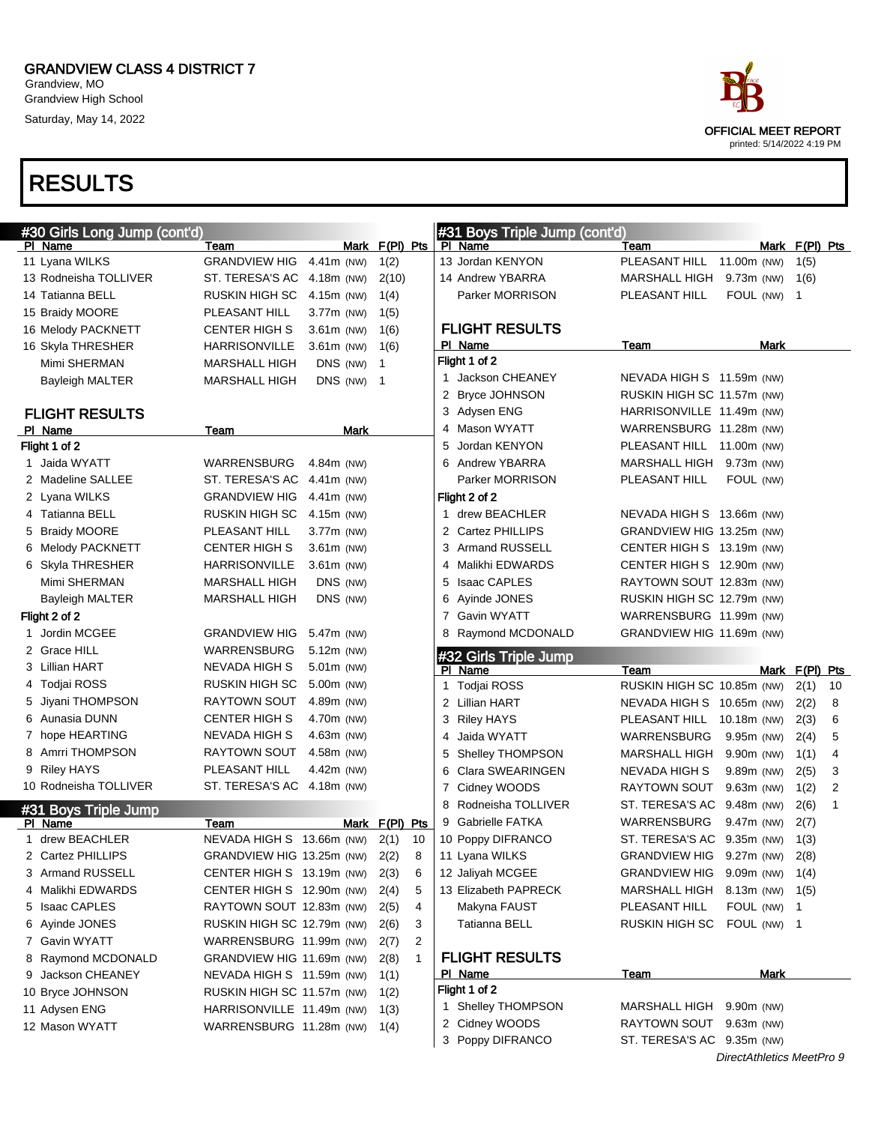Grandview, MO Grandview High School Saturday, May 14, 2022



| #30 Girls Long Jump (cont'd) |                                |               |                      | #31 Boys Triple Jump (cont'd) |                            |              |                |    |
|------------------------------|--------------------------------|---------------|----------------------|-------------------------------|----------------------------|--------------|----------------|----|
| PI Name                      | Team                           |               | Mark F(PI) Pts       | PI Name                       | Team                       | Mark         | $F(PI)$ Pts    |    |
| 11 Lyana WILKS               | <b>GRANDVIEW HIG</b>           | 4.41m (NW)    | 1(2)                 | 13 Jordan KENYON              | PLEASANT HILL              | 11.00m (NW)  | 1(5)           |    |
| 13 Rodneisha TOLLIVER        | ST. TERESA'S AC                | 4.18m (NW)    | 2(10)                | 14 Andrew YBARRA              | MARSHALL HIGH              | $9.73m$ (NW) | 1(6)           |    |
| 14 Tatianna BELL             | RUSKIN HIGH SC                 | 4.15m (NW)    | 1(4)                 | Parker MORRISON               | PLEASANT HILL              | FOUL (NW)    | $\overline{1}$ |    |
| 15 Braidy MOORE              | PLEASANT HILL                  | 3.77m (NW)    | 1(5)                 |                               |                            |              |                |    |
| 16 Melody PACKNETT           | <b>CENTER HIGH S</b>           | $3.61m$ (NW)  | 1(6)                 | <b>FLIGHT RESULTS</b>         |                            |              |                |    |
| 16 Skyla THRESHER            | <b>HARRISONVILLE</b>           | $3.61m$ (NW)  | 1(6)                 | PI Name                       | Team                       | Mark         |                |    |
| Mimi SHERMAN                 | <b>MARSHALL HIGH</b>           | DNS (NW)      | $\overline{1}$       | Flight 1 of 2                 |                            |              |                |    |
| <b>Bayleigh MALTER</b>       | <b>MARSHALL HIGH</b>           | DNS (NW) 1    |                      | 1 Jackson CHEANEY             | NEVADA HIGH S 11.59m (NW)  |              |                |    |
|                              |                                |               |                      | 2 Bryce JOHNSON               | RUSKIN HIGH SC 11.57m (NW) |              |                |    |
| <b>FLIGHT RESULTS</b>        |                                |               |                      | 3 Adysen ENG                  | HARRISONVILLE 11.49m (NW)  |              |                |    |
| PI Name                      | Team                           | Mark          |                      | 4 Mason WYATT                 | WARRENSBURG 11.28m (NW)    |              |                |    |
| Flight 1 of 2                |                                |               |                      | Jordan KENYON<br>5            | PLEASANT HILL 11.00m (NW)  |              |                |    |
| 1 Jaida WYATT                | WARRENSBURG                    | 4.84 $m$ (NW) |                      | Andrew YBARRA<br>6            | MARSHALL HIGH              | 9.73m (NW)   |                |    |
| 2 Madeline SALLEE            | ST. TERESA'S AC                | 4.41m (NW)    |                      | Parker MORRISON               | PLEASANT HILL              | FOUL (NW)    |                |    |
| 2 Lyana WILKS                | <b>GRANDVIEW HIG</b>           | 4.41m (NW)    |                      | Flight 2 of 2                 |                            |              |                |    |
| 4 Tatianna BELL              | <b>RUSKIN HIGH SC</b>          | 4.15m (NW)    |                      | 1 drew BEACHLER               | NEVADA HIGH S 13.66m (NW)  |              |                |    |
| 5 Braidy MOORE               | PLEASANT HILL                  | 3.77m (NW)    |                      | 2 Cartez PHILLIPS             | GRANDVIEW HIG 13.25m (NW)  |              |                |    |
| 6 Melody PACKNETT            | <b>CENTER HIGH S</b>           | 3.61m (NW)    |                      | <b>Armand RUSSELL</b><br>3    | CENTER HIGH S 13.19m (NW)  |              |                |    |
| 6 Skyla THRESHER             | <b>HARRISONVILLE</b>           | $3.61m$ (NW)  |                      | Malikhi EDWARDS<br>4          | CENTER HIGH S 12.90m (NW)  |              |                |    |
| Mimi SHERMAN                 | <b>MARSHALL HIGH</b>           | DNS (NW)      |                      | <b>Isaac CAPLES</b><br>5      | RAYTOWN SOUT 12.83m (NW)   |              |                |    |
| Bayleigh MALTER              | <b>MARSHALL HIGH</b>           | DNS (NW)      |                      | Ayinde JONES<br>6             | RUSKIN HIGH SC 12.79m (NW) |              |                |    |
| Flight 2 of 2                |                                |               |                      | <b>Gavin WYATT</b><br>7       | WARRENSBURG 11.99m (NW)    |              |                |    |
| Jordin MCGEE                 | <b>GRANDVIEW HIG</b>           | 5.47m (NW)    |                      | Raymond MCDONALD<br>8         | GRANDVIEW HIG 11.69m (NW)  |              |                |    |
| 2 Grace HILL                 | WARRENSBURG                    | 5.12m (NW)    |                      | #32 Girls Triple Jump         |                            |              |                |    |
| 3 Lillian HART               | <b>NEVADA HIGH S</b>           | 5.01m (NW)    |                      | PI Name                       | Team                       |              | Mark F(PI) Pts |    |
| 4 Todjai ROSS                | RUSKIN HIGH SC                 | 5.00m (NW)    |                      | <b>Todjai ROSS</b><br>1.      | RUSKIN HIGH SC 10.85m (NW) |              | 2(1)           | 10 |
| 5 Jiyani THOMPSON            | <b>RAYTOWN SOUT</b>            | 4.89m (NW)    |                      | 2 Lillian HART                | NEVADA HIGH S 10.65m (NW)  |              | 2(2)           | 8  |
| 6 Aunasia DUNN               | CENTER HIGH S                  | 4.70m (NW)    |                      | 3<br><b>Riley HAYS</b>        | PLEASANT HILL 10.18m (NW)  |              | 2(3)           | 6  |
| 7 hope HEARTING              | NEVADA HIGH S                  | 4.63m (NW)    |                      | Jaida WYATT<br>4              | WARRENSBURG                | 9.95m (NW)   | 2(4)           | 5  |
| 8 Amrri THOMPSON             | <b>RAYTOWN SOUT</b>            | 4.58m (NW)    |                      | <b>Shelley THOMPSON</b><br>5  | MARSHALL HIGH              | 9.90m (NW)   | 1(1)           | 4  |
| 9 Riley HAYS                 | PLEASANT HILL                  | 4.42m (NW)    |                      | Clara SWEARINGEN<br>6         | NEVADA HIGH S              | 9.89m (NW)   | 2(5)           | 3  |
| 10 Rodneisha TOLLIVER        | ST. TERESA'S AC 4.18m (NW)     |               |                      | Cidney WOODS<br>7             | RAYTOWN SOUT 9.63m (NW)    |              | 1(2)           | 2  |
| #31 Boys Triple Jump         |                                |               |                      | 8<br>Rodneisha TOLLIVER       | ST. TERESA'S AC 9.48m (NW) |              | 2(6)           | 1  |
| PI Name                      | Team                           |               | Mark F(PI) Pts       | <b>Gabrielle FATKA</b><br>9   | WARRENSBURG                | 9.47m (NW)   | 2(7)           |    |
| 1 drew BEACHLER              | NEVADA HIGH S 13.66m (NW)      |               | 2(1)<br>10           | 10 Poppy DIFRANCO             | ST. TERESA'S AC 9.35m (NW) |              | 1(3)           |    |
| 2 Cartez PHILLIPS            | GRANDVIEW HIG 13.25m (NW) 2(2) |               | 8                    | 11 Lyana WILKS                | GRANDVIEW HIG 9.27m (NW)   |              | 2(8)           |    |
| 3 Armand RUSSELL             | CENTER HIGH S 13.19m (NW)      |               | 2(3)<br>6            | 12 Jaliyah MCGEE              | GRANDVIEW HIG 9.09m (NW)   |              | 1(4)           |    |
| 4 Malikhi EDWARDS            | CENTER HIGH S 12.90m (NW)      |               | 5<br>2(4)            | 13 Elizabeth PAPRECK          | MARSHALL HIGH              | $8.13m$ (NW) | 1(5)           |    |
| 5 Isaac CAPLES               | RAYTOWN SOUT 12.83m (NW)       |               | 4<br>2(5)            | Makyna FAUST                  | PLEASANT HILL              | FOUL (NW)    | $\mathbf{1}$   |    |
| 6 Ayinde JONES               | RUSKIN HIGH SC 12.79m (NW)     |               | 3<br>2(6)            | Tatianna BELL                 | RUSKIN HIGH SC             | FOUL (NW) 1  |                |    |
| 7 Gavin WYATT                | WARRENSBURG 11.99m (NW)        |               | 2<br>2(7)            |                               |                            |              |                |    |
| 8 Raymond MCDONALD           | GRANDVIEW HIG 11.69m (NW)      |               | $\mathbf{1}$<br>2(8) | <b>FLIGHT RESULTS</b>         |                            |              |                |    |
| 9 Jackson CHEANEY            | NEVADA HIGH S 11.59m (NW)      |               | 1(1)                 | <u>PI Name</u>                | <u>Team</u>                | Mark         |                |    |
| 10 Bryce JOHNSON             | RUSKIN HIGH SC 11.57m (NW)     |               | 1(2)                 | Flight 1 of 2                 |                            |              |                |    |
| 11 Adysen ENG                | HARRISONVILLE 11.49m (NW)      |               | 1(3)                 | 1 Shelley THOMPSON            | MARSHALL HIGH              | $9.90m$ (NW) |                |    |
| 12 Mason WYATT               | WARRENSBURG 11.28m (NW)        |               |                      | 2 Cidney WOODS                | RAYTOWN SOUT 9.63m (NW)    |              |                |    |
|                              |                                |               |                      |                               |                            |              |                |    |
|                              |                                |               | 1(4)                 | 3 Poppy DIFRANCO              | ST. TERESA'S AC 9.35m (NW) |              |                |    |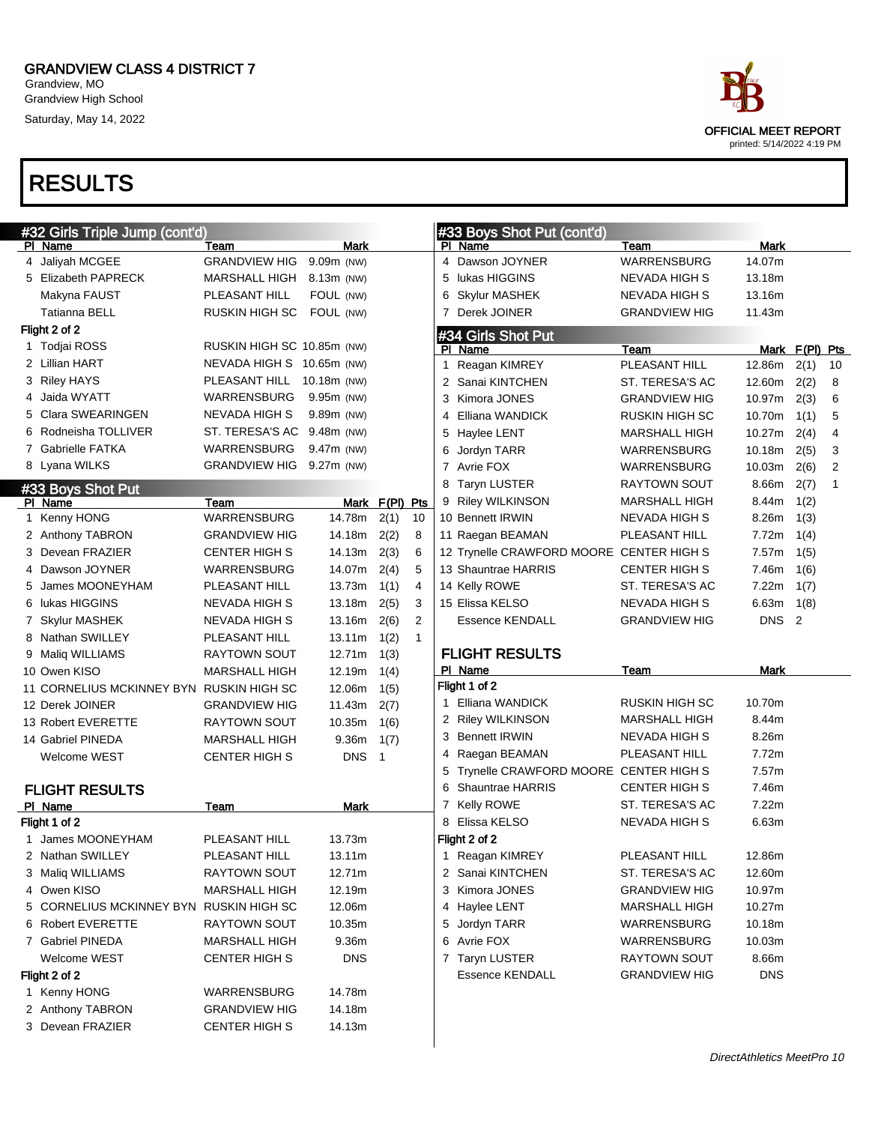Grandview, MO Grandview High School Saturday, May 14, 2022



### RESULTS

|              | #32 Girls Triple Jump (cont'd)           |                            |              |                |                |   | #33 Boys Shot Put (cont'd)               |                       |                  |      |                |
|--------------|------------------------------------------|----------------------------|--------------|----------------|----------------|---|------------------------------------------|-----------------------|------------------|------|----------------|
|              | PI Name                                  | Team                       | Mark         |                |                |   | PI Name                                  | Team                  | Mark             |      |                |
|              | 4 Jaliyah MCGEE                          | <b>GRANDVIEW HIG</b>       | 9.09m (NW)   |                |                |   | 4 Dawson JOYNER                          | WARRENSBURG           | 14.07m           |      |                |
|              | 5 Elizabeth PAPRECK                      | MARSHALL HIGH              | 8.13m (NW)   |                |                | 5 | lukas HIGGINS                            | NEVADA HIGH S         | 13.18m           |      |                |
|              | Makyna FAUST                             | PLEASANT HILL              | FOUL (NW)    |                |                | 6 | Skylur MASHEK                            | NEVADA HIGH S         | 13.16m           |      |                |
|              | Tatianna BELL                            | RUSKIN HIGH SC             | FOUL (NW)    |                |                |   | 7 Derek JOINER                           | <b>GRANDVIEW HIG</b>  | 11.43m           |      |                |
|              | Flight 2 of 2                            |                            |              |                |                |   | #34 Girls Shot Put                       |                       |                  |      |                |
|              | 1 Todjai ROSS                            | RUSKIN HIGH SC 10.85m (NW) |              |                |                |   | PI Name                                  | Team                  | Mark F(PI) Pts   |      |                |
|              | 2 Lillian HART                           | NEVADA HIGH S 10.65m (NW)  |              |                |                |   | 1 Reagan KIMREY                          | PLEASANT HILL         | 12.86m           | 2(1) | 10             |
|              | 3 Riley HAYS                             | PLEASANT HILL              | 10.18m (NW)  |                |                |   | 2 Sanai KINTCHEN                         | ST. TERESA'S AC       | 12.60m           | 2(2) | 8              |
|              | 4 Jaida WYATT                            | WARRENSBURG                | 9.95m (NW)   |                |                | 3 | Kimora JONES                             | <b>GRANDVIEW HIG</b>  | 10.97m           | 2(3) | 6              |
|              | 5 Clara SWEARINGEN                       | <b>NEVADA HIGH S</b>       | 9.89m (NW)   |                |                | 4 | Elliana WANDICK                          | <b>RUSKIN HIGH SC</b> | 10.70m           | 1(1) | 5              |
|              | 6 Rodneisha TOLLIVER                     | ST. TERESA'S AC 9.48m (NW) |              |                |                |   | 5 Haylee LENT                            | <b>MARSHALL HIGH</b>  | 10.27m           | 2(4) | $\overline{4}$ |
|              | 7 Gabrielle FATKA                        | WARRENSBURG                | $9.47m$ (NW) |                |                | 6 | Jordyn TARR                              | WARRENSBURG           | 10.18m           | 2(5) | 3              |
|              | 8 Lyana WILKS                            | GRANDVIEW HIG 9.27m (NW)   |              |                |                |   | 7 Avrie FOX                              | WARRENSBURG           | 10.03m           | 2(6) | 2              |
|              |                                          |                            |              |                |                |   | 8 Taryn LUSTER                           | RAYTOWN SOUT          | 8.66m            | 2(7) | $\mathbf{1}$   |
|              | #33 Boys Shot Put<br>PI Name             | Team                       |              | Mark F(PI) Pts |                |   | 9 Riley WILKINSON                        | <b>MARSHALL HIGH</b>  | 8.44m            | 1(2) |                |
| $\mathbf{1}$ | Kenny HONG                               | WARRENSBURG                | 14.78m       | 2(1)           | 10             |   | 10 Bennett IRWIN                         | <b>NEVADA HIGH S</b>  | 8.26m            | 1(3) |                |
|              | 2 Anthony TABRON                         | <b>GRANDVIEW HIG</b>       | 14.18m       | 2(2)           | 8              |   | 11 Raegan BEAMAN                         | PLEASANT HILL         | 7.72m            | 1(4) |                |
|              | 3 Devean FRAZIER                         | <b>CENTER HIGH S</b>       | 14.13m       | 2(3)           | 6              |   | 12 Trynelle CRAWFORD MOORE CENTER HIGH S |                       | 7.57m            | 1(5) |                |
|              | 4 Dawson JOYNER                          | WARRENSBURG                | 14.07m       | 2(4)           | 5              |   | 13 Shauntrae HARRIS                      | <b>CENTER HIGH S</b>  | 7.46m            | 1(6) |                |
|              | 5 James MOONEYHAM                        |                            | 13.73m       |                | $\overline{4}$ |   | 14 Kelly ROWE                            | ST. TERESA'S AC       | 7.22m            |      |                |
|              |                                          | PLEASANT HILL              |              | 1(1)           |                |   |                                          |                       |                  | 1(7) |                |
|              | 6 lukas HIGGINS                          | NEVADA HIGH S              | 13.18m       | 2(5)           | 3              |   | 15 Elissa KELSO                          | <b>NEVADA HIGH S</b>  | 6.63m            | 1(8) |                |
|              | 7 Skylur MASHEK                          | NEVADA HIGH S              | 13.16m       | 2(6)           | 2              |   | <b>Essence KENDALL</b>                   | <b>GRANDVIEW HIG</b>  | DNS <sub>2</sub> |      |                |
|              | 8 Nathan SWILLEY                         | PLEASANT HILL              | 13.11m       | 1(2)           | $\mathbf{1}$   |   |                                          |                       |                  |      |                |
|              | 9 Maliq WILLIAMS                         | <b>RAYTOWN SOUT</b>        | 12.71m       | 1(3)           |                |   | <b>FLIGHT RESULTS</b>                    |                       |                  |      |                |
|              | 10 Owen KISO                             | <b>MARSHALL HIGH</b>       | 12.19m       | 1(4)           |                |   | PI Name                                  | Team                  | Mark             |      |                |
|              | 11 CORNELIUS MCKINNEY BYN RUSKIN HIGH SC |                            | 12.06m       | 1(5)           |                |   | Flight 1 of 2                            |                       |                  |      |                |
|              | 12 Derek JOINER                          | <b>GRANDVIEW HIG</b>       | 11.43m       | 2(7)           |                |   | 1 Elliana WANDICK                        | <b>RUSKIN HIGH SC</b> | 10.70m           |      |                |
|              | 13 Robert EVERETTE                       | RAYTOWN SOUT               | 10.35m       | 1(6)           |                |   | 2 Riley WILKINSON                        | <b>MARSHALL HIGH</b>  | 8.44m            |      |                |
|              | 14 Gabriel PINEDA                        | <b>MARSHALL HIGH</b>       | 9.36m        | 1(7)           |                |   | 3 Bennett IRWIN                          | <b>NEVADA HIGH S</b>  | 8.26m            |      |                |
|              | Welcome WEST                             | <b>CENTER HIGH S</b>       | <b>DNS</b>   | $\overline{1}$ |                |   | 4 Raegan BEAMAN                          | PLEASANT HILL         | 7.72m            |      |                |
|              |                                          |                            |              |                |                |   | 5 Trynelle CRAWFORD MOORE CENTER HIGH S  |                       | 7.57m            |      |                |
|              | <b>FLIGHT RESULTS</b>                    |                            |              |                |                |   | 6 Shauntrae HARRIS                       | <b>CENTER HIGH S</b>  | 7.46m            |      |                |
|              | PI Name                                  | Team                       | <b>Mark</b>  |                |                |   | 7 Kelly ROWE                             | ST. TERESA'S AC       | 7.22m            |      |                |
|              | Flight 1 of 2                            |                            |              |                |                |   | 8 Elissa KELSO                           | NEVADA HIGH S         | 6.63m            |      |                |
|              | 1 James MOONEYHAM                        | PLEASANT HILL              | 13.73m       |                |                |   | Flight 2 of 2                            |                       |                  |      |                |
|              | 2 Nathan SWILLEY                         | PLEASANT HILL              | 13.11m       |                |                |   | 1 Reagan KIMREY                          | PLEASANT HILL         | 12.86m           |      |                |
|              | 3 Maliq WILLIAMS                         | RAYTOWN SOUT               | 12.71m       |                |                |   | 2 Sanai KINTCHEN                         | ST. TERESA'S AC       | 12.60m           |      |                |
|              | 4 Owen KISO                              | <b>MARSHALL HIGH</b>       | 12.19m       |                |                |   | 3 Kimora JONES                           | <b>GRANDVIEW HIG</b>  | 10.97m           |      |                |
|              | 5 CORNELIUS MCKINNEY BYN RUSKIN HIGH SC  |                            | 12.06m       |                |                |   | 4 Haylee LENT                            | <b>MARSHALL HIGH</b>  | 10.27m           |      |                |
|              | 6 Robert EVERETTE                        | RAYTOWN SOUT               | 10.35m       |                |                |   | 5 Jordyn TARR                            | WARRENSBURG           | 10.18m           |      |                |
|              | 7 Gabriel PINEDA                         | <b>MARSHALL HIGH</b>       | 9.36m        |                |                |   | 6 Avrie FOX                              | <b>WARRENSBURG</b>    | 10.03m           |      |                |
|              | Welcome WEST                             | <b>CENTER HIGH S</b>       | <b>DNS</b>   |                |                |   | 7 Taryn LUSTER                           | RAYTOWN SOUT          | 8.66m            |      |                |
|              | Flight 2 of 2                            |                            |              |                |                |   | <b>Essence KENDALL</b>                   | <b>GRANDVIEW HIG</b>  | <b>DNS</b>       |      |                |
|              | 1 Kenny HONG                             | WARRENSBURG                | 14.78m       |                |                |   |                                          |                       |                  |      |                |
|              | 2 Anthony TABRON                         | <b>GRANDVIEW HIG</b>       | 14.18m       |                |                |   |                                          |                       |                  |      |                |
|              | 3 Devean FRAZIER                         | <b>CENTER HIGH S</b>       | 14.13m       |                |                |   |                                          |                       |                  |      |                |

 $\overline{1}$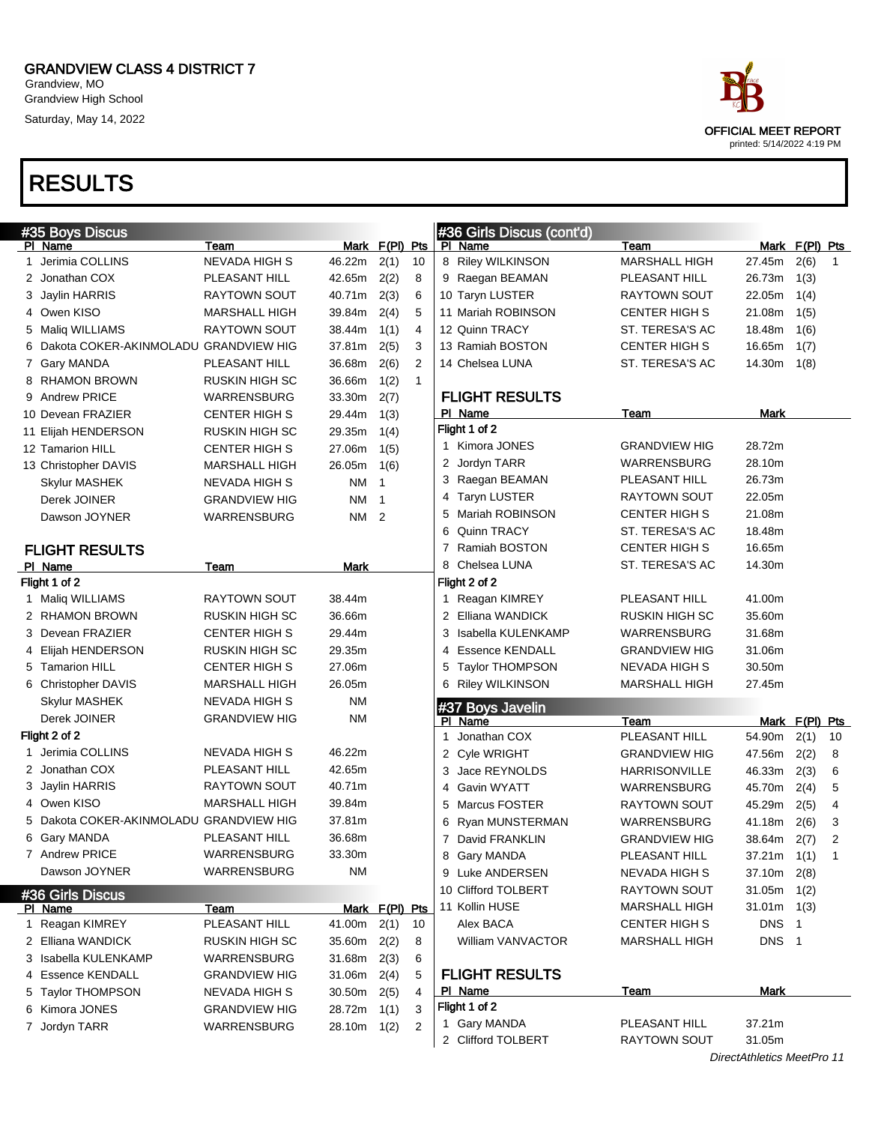Grandview, MO Grandview High School Saturday, May 14, 2022

# OFFICIAL MEET REPORT printed: 5/14/2022 4:19 PM

|               | #35 Boys Discus                         |                      |                |                            |              |   | #36 Girls Discus (cont'd) |                       |                            |                  |              |
|---------------|-----------------------------------------|----------------------|----------------|----------------------------|--------------|---|---------------------------|-----------------------|----------------------------|------------------|--------------|
|               | PI Name                                 | Team                 | Mark F(PI) Pts |                            |              |   | PI Name                   | Team                  |                            | Mark $F(PI)$ Pts |              |
|               | 1 Jerimia COLLINS                       | <b>NEVADA HIGH S</b> | 46.22m         | 2(1)                       | 10           |   | 8 Riley WILKINSON         | <b>MARSHALL HIGH</b>  | 27.45m                     | 2(6)             | 1            |
|               | 2 Jonathan COX                          | PLEASANT HILL        | 42.65m         | 2(2)                       | 8            |   | 9 Raegan BEAMAN           | PLEASANT HILL         | 26.73m                     | 1(3)             |              |
|               | 3 Jaylin HARRIS                         | RAYTOWN SOUT         | 40.71m         | 2(3)                       | 6            |   | 10 Taryn LUSTER           | <b>RAYTOWN SOUT</b>   | 22.05m                     | 1(4)             |              |
|               | 4 Owen KISO                             | MARSHALL HIGH        | 39.84m         | 2(4)                       | 5            |   | 11 Mariah ROBINSON        | <b>CENTER HIGH S</b>  | 21.08m                     | 1(5)             |              |
|               | 5 Maliq WILLIAMS                        | <b>RAYTOWN SOUT</b>  | 38.44m         | 1(1)                       | 4            |   | 12 Quinn TRACY            | ST. TERESA'S AC       | 18.48m                     | 1(6)             |              |
|               | 6 Dakota COKER-AKINMOLADU GRANDVIEW HIG |                      | 37.81m         | 2(5)                       | 3            |   | 13 Ramiah BOSTON          | <b>CENTER HIGH S</b>  | 16.65m                     | 1(7)             |              |
|               | 7 Gary MANDA                            | PLEASANT HILL        | 36.68m         | 2(6)                       | 2            |   | 14 Chelsea LUNA           | ST. TERESA'S AC       | 14.30m                     | 1(8)             |              |
|               | 8 RHAMON BROWN                          | RUSKIN HIGH SC       | 36.66m         | 1(2)                       | $\mathbf{1}$ |   |                           |                       |                            |                  |              |
|               | 9 Andrew PRICE                          | WARRENSBURG          | 33.30m         | 2(7)                       |              |   | <b>FLIGHT RESULTS</b>     |                       |                            |                  |              |
|               | 10 Devean FRAZIER                       | <b>CENTER HIGH S</b> | 29.44m         | 1(3)                       |              |   | PI Name                   | Team                  | Mark                       |                  |              |
|               | 11 Elijah HENDERSON                     | RUSKIN HIGH SC       | 29.35m         | 1(4)                       |              |   | Flight 1 of 2             |                       |                            |                  |              |
|               | 12 Tamarion HILL                        | <b>CENTER HIGH S</b> | 27.06m         | 1(5)                       |              | 1 | Kimora JONES              | <b>GRANDVIEW HIG</b>  | 28.72m                     |                  |              |
|               | 13 Christopher DAVIS                    | MARSHALL HIGH        | 26.05m         | 1(6)                       |              |   | 2 Jordyn TARR             | <b>WARRENSBURG</b>    | 28.10m                     |                  |              |
|               | Skylur MASHEK                           | NEVADA HIGH S        | ΝM             | $\overline{1}$             |              |   | 3 Raegan BEAMAN           | PLEASANT HILL         | 26.73m                     |                  |              |
|               | Derek JOINER                            | <b>GRANDVIEW HIG</b> | ΝM             | $\overline{\mathbf{1}}$    |              | 4 | <b>Taryn LUSTER</b>       | <b>RAYTOWN SOUT</b>   | 22.05m                     |                  |              |
|               | Dawson JOYNER                           | WARRENSBURG          | ΝM             | $\overline{\phantom{0}}^2$ |              | 5 | Mariah ROBINSON           | <b>CENTER HIGH S</b>  | 21.08m                     |                  |              |
|               |                                         |                      |                |                            |              | 6 | Quinn TRACY               | ST. TERESA'S AC       | 18.48m                     |                  |              |
|               | <b>FLIGHT RESULTS</b>                   |                      |                |                            |              | 7 | Ramiah BOSTON             | <b>CENTER HIGH S</b>  | 16.65m                     |                  |              |
|               | PI Name                                 | Team                 | Mark           |                            |              |   | 8 Chelsea LUNA            | ST. TERESA'S AC       | 14.30m                     |                  |              |
|               | Flight 1 of 2                           |                      |                |                            |              |   | Flight 2 of 2             |                       |                            |                  |              |
|               | 1 Maliq WILLIAMS                        | RAYTOWN SOUT         | 38.44m         |                            |              | 1 | Reagan KIMREY             | PLEASANT HILL         | 41.00m                     |                  |              |
|               | 2 RHAMON BROWN                          | RUSKIN HIGH SC       | 36.66m         |                            |              |   | 2 Elliana WANDICK         | <b>RUSKIN HIGH SC</b> | 35.60m                     |                  |              |
|               | 3 Devean FRAZIER                        | <b>CENTER HIGH S</b> | 29.44m         |                            |              | 3 | Isabella KULENKAMP        | <b>WARRENSBURG</b>    | 31.68m                     |                  |              |
|               | 4 Elijah HENDERSON                      | RUSKIN HIGH SC       | 29.35m         |                            |              | 4 | <b>Essence KENDALL</b>    | <b>GRANDVIEW HIG</b>  | 31.06m                     |                  |              |
|               | 5 Tamarion HILL                         | <b>CENTER HIGH S</b> | 27.06m         |                            |              | 5 | <b>Taylor THOMPSON</b>    | <b>NEVADA HIGH S</b>  | 30.50m                     |                  |              |
|               | 6 Christopher DAVIS                     | MARSHALL HIGH        | 26.05m         |                            |              |   | 6 Riley WILKINSON         | <b>MARSHALL HIGH</b>  | 27.45m                     |                  |              |
|               | Skylur MASHEK                           | <b>NEVADA HIGH S</b> | <b>NM</b>      |                            |              |   | #37 Boys Javelin          |                       |                            |                  |              |
|               | Derek JOINER                            | <b>GRANDVIEW HIG</b> | ΝM             |                            |              |   | PI Name                   | Team                  |                            | Mark $F(PI)$ Pts |              |
| Flight 2 of 2 |                                         |                      |                |                            |              | 1 | Jonathan COX              | PLEASANT HILL         | 54.90m                     | 2(1)             | 10           |
|               | 1 Jerimia COLLINS                       | <b>NEVADA HIGH S</b> | 46.22m         |                            |              |   | 2 Cyle WRIGHT             | <b>GRANDVIEW HIG</b>  | 47.56m                     | 2(2)             | 8            |
|               | 2 Jonathan COX                          | PLEASANT HILL        | 42.65m         |                            |              | 3 | Jace REYNOLDS             | <b>HARRISONVILLE</b>  | 46.33m                     | 2(3)             | 6            |
|               | 3 Jaylin HARRIS                         | <b>RAYTOWN SOUT</b>  | 40.71m         |                            |              | 4 | <b>Gavin WYATT</b>        | <b>WARRENSBURG</b>    | 45.70m                     | 2(4)             | 5            |
|               | 4 Owen KISO                             | <b>MARSHALL HIGH</b> | 39.84m         |                            |              |   | 5 Marcus FOSTER           | RAYTOWN SOUT          | 45.29m                     | 2(5)             | 4            |
|               | 5 Dakota COKER-AKINMOLADU GRANDVIEW HIG |                      | 37.81m         |                            |              |   | 6 Ryan MUNSTERMAN         | <b>WARRENSBURG</b>    | 41.18m                     | 2(6)             | 3            |
|               | 6 Gary MANDA                            | PLEASANT HILL        | 36.68m         |                            |              |   | 7 David FRANKLIN          | <b>GRANDVIEW HIG</b>  | 38.64m 2(7)                |                  | 2            |
|               | 7 Andrew PRICE                          | WARRENSBURG          | 33.30m         |                            |              |   | 8 Gary MANDA              | PLEASANT HILL         | $37.21m$ 1(1)              |                  | $\mathbf{1}$ |
|               | Dawson JOYNER                           | <b>WARRENSBURG</b>   | ΝM             |                            |              |   | 9 Luke ANDERSEN           | NEVADA HIGH S         | $37.10m$ 2(8)              |                  |              |
|               | #36 Girls Discus                        |                      |                |                            |              |   | 10 Clifford TOLBERT       | RAYTOWN SOUT          | 31.05m                     | 1(2)             |              |
|               | PI Name                                 | Team                 | Mark F(PI) Pts |                            |              |   | 11 Kollin HUSE            | <b>MARSHALL HIGH</b>  | 31.01m                     | 1(3)             |              |
|               | 1 Reagan KIMREY                         | PLEASANT HILL        | 41.00m         | 2(1)                       | 10           |   | Alex BACA                 | <b>CENTER HIGH S</b>  | DNS <sub>1</sub>           |                  |              |
|               | 2 Elliana WANDICK                       | RUSKIN HIGH SC       | 35.60m         | 2(2)                       | 8            |   | William VANVACTOR         | <b>MARSHALL HIGH</b>  | DNS <sub>1</sub>           |                  |              |
|               | 3 Isabella KULENKAMP                    | WARRENSBURG          | 31.68m         | 2(3)                       | 6            |   |                           |                       |                            |                  |              |
|               | 4 Essence KENDALL                       | <b>GRANDVIEW HIG</b> | 31.06m         | 2(4)                       | 5            |   | <b>FLIGHT RESULTS</b>     |                       |                            |                  |              |
|               | 5 Taylor THOMPSON                       | <b>NEVADA HIGH S</b> | 30.50m         | 2(5)                       | 4            |   | <u>PI Name</u>            | Team                  | Mark                       |                  |              |
|               | 6 Kimora JONES                          | <b>GRANDVIEW HIG</b> | 28.72m 1(1)    |                            | 3            |   | Flight 1 of 2             |                       |                            |                  |              |
|               | 7 Jordyn TARR                           | WARRENSBURG          | 28.10m 1(2)    |                            | 2            |   | 1 Gary MANDA              | PLEASANT HILL         | 37.21m                     |                  |              |
|               |                                         |                      |                |                            |              |   | 2 Clifford TOLBERT        | <b>RAYTOWN SOUT</b>   | 31.05m                     |                  |              |
|               |                                         |                      |                |                            |              |   |                           |                       | DirectAthletics MeetPro 11 |                  |              |